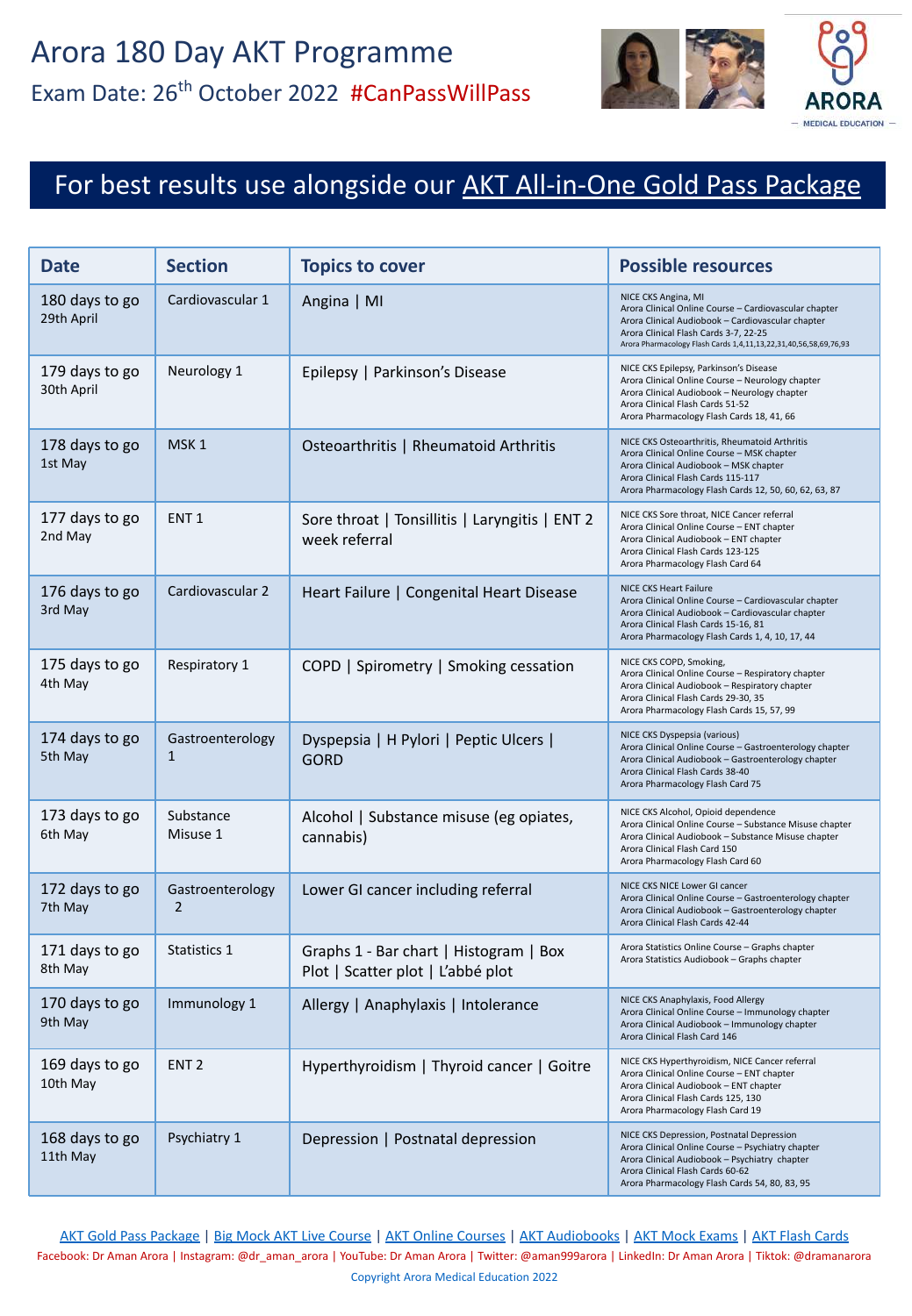

### For best results use alongside our [AKT All-in-One Gold Pass Package](https://aroramedicaleducation.co.uk/akt-gold-pass-package/)

| <b>Date</b>                              | <b>Section</b>                     | <b>Topics to cover</b>                                                      | <b>Possible resources</b>                                                                                                                                                                                                                      |
|------------------------------------------|------------------------------------|-----------------------------------------------------------------------------|------------------------------------------------------------------------------------------------------------------------------------------------------------------------------------------------------------------------------------------------|
| 180 days to go<br>29th April             | Cardiovascular 1                   | Angina   MI                                                                 | NICE CKS Angina, MI<br>Arora Clinical Online Course - Cardiovascular chapter<br>Arora Clinical Audiobook - Cardiovascular chapter<br>Arora Clinical Flash Cards 3-7, 22-25<br>Arora Pharmacology Flash Cards 1,4,11,13,22,31,40,56,58,69,76,93 |
| 179 days to go<br>30th April             | Neurology 1                        | Epilepsy   Parkinson's Disease                                              | NICE CKS Epilepsy, Parkinson's Disease<br>Arora Clinical Online Course - Neurology chapter<br>Arora Clinical Audiobook - Neurology chapter<br>Arora Clinical Flash Cards 51-52<br>Arora Pharmacology Flash Cards 18, 41, 66                    |
| 178 days to go<br>1st May                | MSK <sub>1</sub>                   | Osteoarthritis   Rheumatoid Arthritis                                       | NICE CKS Osteoarthritis, Rheumatoid Arthritis<br>Arora Clinical Online Course - MSK chapter<br>Arora Clinical Audiobook - MSK chapter<br>Arora Clinical Flash Cards 115-117<br>Arora Pharmacology Flash Cards 12, 50, 60, 62, 63, 87           |
| 177 days to go<br>2nd May                | ENT <sub>1</sub>                   | Sore throat   Tonsillitis   Laryngitis   ENT 2<br>week referral             | NICE CKS Sore throat, NICE Cancer referral<br>Arora Clinical Online Course - ENT chapter<br>Arora Clinical Audiobook - ENT chapter<br>Arora Clinical Flash Cards 123-125<br>Arora Pharmacology Flash Card 64                                   |
| 176 days to go<br>3rd May                | Cardiovascular 2                   | Heart Failure   Congenital Heart Disease                                    | NICE CKS Heart Failure<br>Arora Clinical Online Course - Cardiovascular chapter<br>Arora Clinical Audiobook - Cardiovascular chapter<br>Arora Clinical Flash Cards 15-16, 81<br>Arora Pharmacology Flash Cards 1, 4, 10, 17, 44                |
| 175 days to go<br>4th May                | Respiratory 1                      | COPD   Spirometry   Smoking cessation                                       | NICE CKS COPD, Smoking,<br>Arora Clinical Online Course - Respiratory chapter<br>Arora Clinical Audiobook - Respiratory chapter<br>Arora Clinical Flash Cards 29-30, 35<br>Arora Pharmacology Flash Cards 15, 57, 99                           |
| 174 days to go<br>5th May                | Gastroenterology<br>$\mathbf{1}$   | Dyspepsia   H Pylori   Peptic Ulcers  <br><b>GORD</b>                       | NICE CKS Dyspepsia (various)<br>Arora Clinical Online Course - Gastroenterology chapter<br>Arora Clinical Audiobook - Gastroenterology chapter<br>Arora Clinical Flash Cards 38-40<br>Arora Pharmacology Flash Card 75                         |
| 173 days to go<br>6th May                | Substance<br>Misuse 1              | Alcohol   Substance misuse (eg opiates,<br>cannabis)                        | NICE CKS Alcohol, Opioid dependence<br>Arora Clinical Online Course - Substance Misuse chapter<br>Arora Clinical Audiobook - Substance Misuse chapter<br>Arora Clinical Flash Card 150<br>Arora Pharmacology Flash Card 60                     |
| 172 days to go<br>7th May                | Gastroenterology<br>$\overline{2}$ | Lower GI cancer including referral                                          | NICE CKS NICE Lower GI cancer<br>Arora Clinical Online Course - Gastroenterology chapter<br>Arora Clinical Audiobook - Gastroenterology chapter<br>Arora Clinical Flash Cards 42-44                                                            |
| 171 days to go<br>8th May                | Statistics 1                       | Graphs 1 - Bar chart   Histogram   Box<br>Plot   Scatter plot   L'abbé plot | Arora Statistics Online Course - Graphs chapter<br>Arora Statistics Audiobook - Graphs chapter                                                                                                                                                 |
| 170 days to go   Immunology 1<br>9th May |                                    | Allergy   Anaphylaxis   Intolerance                                         | NICE CKS Anaphylaxis, Food Allergy<br>Arora Clinical Online Course - Immunology chapter<br>Arora Clinical Audiobook - Immunology chapter<br>Arora Clinical Flash Card 146                                                                      |
| 169 days to go<br>10th May               | ENT <sub>2</sub>                   | Hyperthyroidism   Thyroid cancer   Goitre                                   | NICE CKS Hyperthyroidism, NICE Cancer referral<br>Arora Clinical Online Course - ENT chapter<br>Arora Clinical Audiobook - ENT chapter<br>Arora Clinical Flash Cards 125, 130<br>Arora Pharmacology Flash Card 19                              |
| 168 days to go<br>11th May               | Psychiatry 1                       | Depression   Postnatal depression                                           | NICE CKS Depression, Postnatal Depression<br>Arora Clinical Online Course - Psychiatry chapter<br>Arora Clinical Audiobook - Psychiatry chapter<br>Arora Clinical Flash Cards 60-62<br>Arora Pharmacology Flash Cards 54, 80, 83, 95           |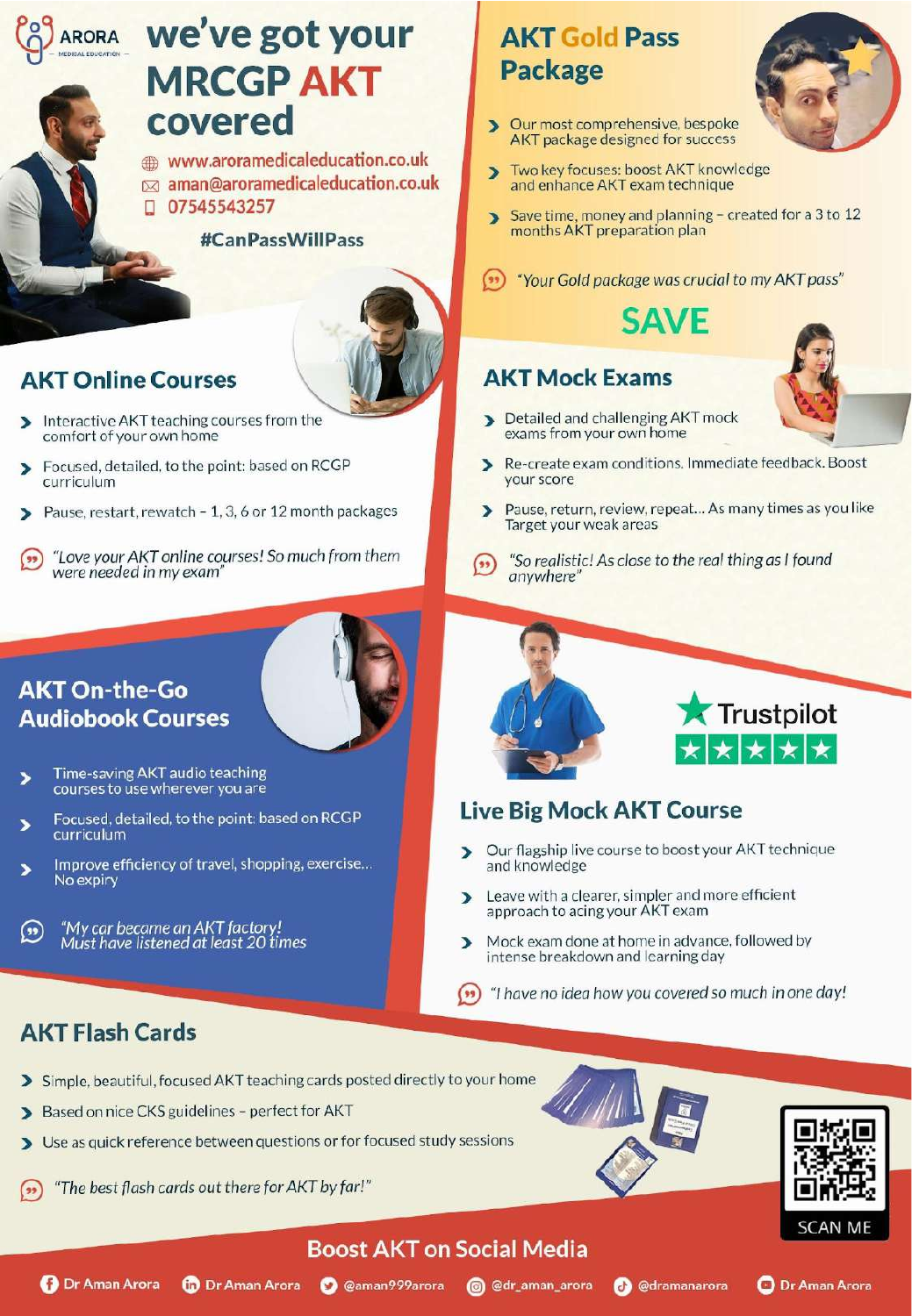# ARORA We've got your **MRCGP AKT**<br>covered

www.aroramedicaleducation.co.uk Equipment and the best results and enhance AKT exam technique<br>
1 07545543257<br>
Save time, money and planning – created for a 3 to 12

#CanPassWillPass



Respiratory 1 COPD | Spirometry | Smoking cessation NICE CKS COPD, Smoking,

Dyspepsia | H Pylori | Peptic Ulcers |

GORD

#### $T$ Online  $\overline{\phantom{a}}$

29th July 2014

- Interactive AKT teaching courses from the<br>comfort of your own home D
- Б curriculum ENT 1 Sore throat | Tonsillitis | Laryngitis | ENT 2
- Pause, restart, rewatch 1, 3, 6 or 12 month packages
- "Love your AKT online courses! So much from them Cardiovas "So realistic! As close to the reg were needed in my exam'

#### 174 days to go Gastroenterology (1 On-the-Go **Audiobook Courses**

3rd August

- courses to use wherever you are
- Focused, detailed, t י
- Improve efficiency of travel, shopping, exercise... **The contract of the light of the statistics** and knowledge No expiry | Scatter plot | L'abbé plot
- $\overline{1}$  days to go go go  $\overline{1}$  $(\cdot)$  $\frac{N}{8}$

#### **AKT Flash Cards** Passion | Postnatal depression | Postnatal depression NICE CKS Depression, Postnatal Depression, Postnatal Dep

169 days to go

- > Simple, beautiful, focused AKT teaching cards posted directly to your home
- > Based on nice CKS guidelines perfect for AKT
- Use as quick reference between questions or for focused study sessions  $\blacktriangleright$
- "The best flash cards out there for AKT by far!"





#### **Rora Clinical Clinical Course – Gastroenterology Circuit Course – Gastroenterology chapter Course**

- Our flagship live course to boost your AKT technique
- approach to acing your AKT exam
- ome in advance, followed by
- ENT 2 Hyperthyroidism | Thyroid cancer | Goitre NICE CKS Hyperthyroidism, NICE Cancer referral you covered so much <mark>in</mark> or  $($

Arora Clinical Online Course – Psychiatry chapter Arora Clinical Audiobook – Psychiatry chapter



Two key focuses: boost AKT knowledge  $\overline{\phantom{1}}$ 

Our most comprehensive, bespoke

AKT package designed for success

**AKT Gold Pass** 

**Package** 

 $\blacktriangleright$ 

months AKT preparation plan

**(1)** "Your Gold package was crucial to my AKT pass"

#### Neurology **NICE CART Mock Exams** Arora Clinical Audiobook – Neurology chapter

- MSK 1 OSTEORTHRITIS COURSES THOM THE COURSE ONLY 1 ONLY 100 ONLY 100 ONLY 100 ONLY 100 ONLY 100 ONLY 100 ONLY 1
	- nditions. Immediate feed
	- ew, repeat... As many times D Target your weak areas
	- "So realistic! As close to the real thing as I found anywhere' Arora Clinical Audiobook – Cardiovascular chapter
	- $\blacktriangledown$  Trustail at Alcohol | Substance misuse (eg opiates,  $\left| \frac{1}{2} \right|$ Arora Clinical Audiobook – Substance Misuse chapter

Arora Clinical Flash Cards 29-30, 35







Copyright Arora Medical Arora Copyright Arora 2021 and 2021

**O** @dramanarora

**O** Dr Aman Arora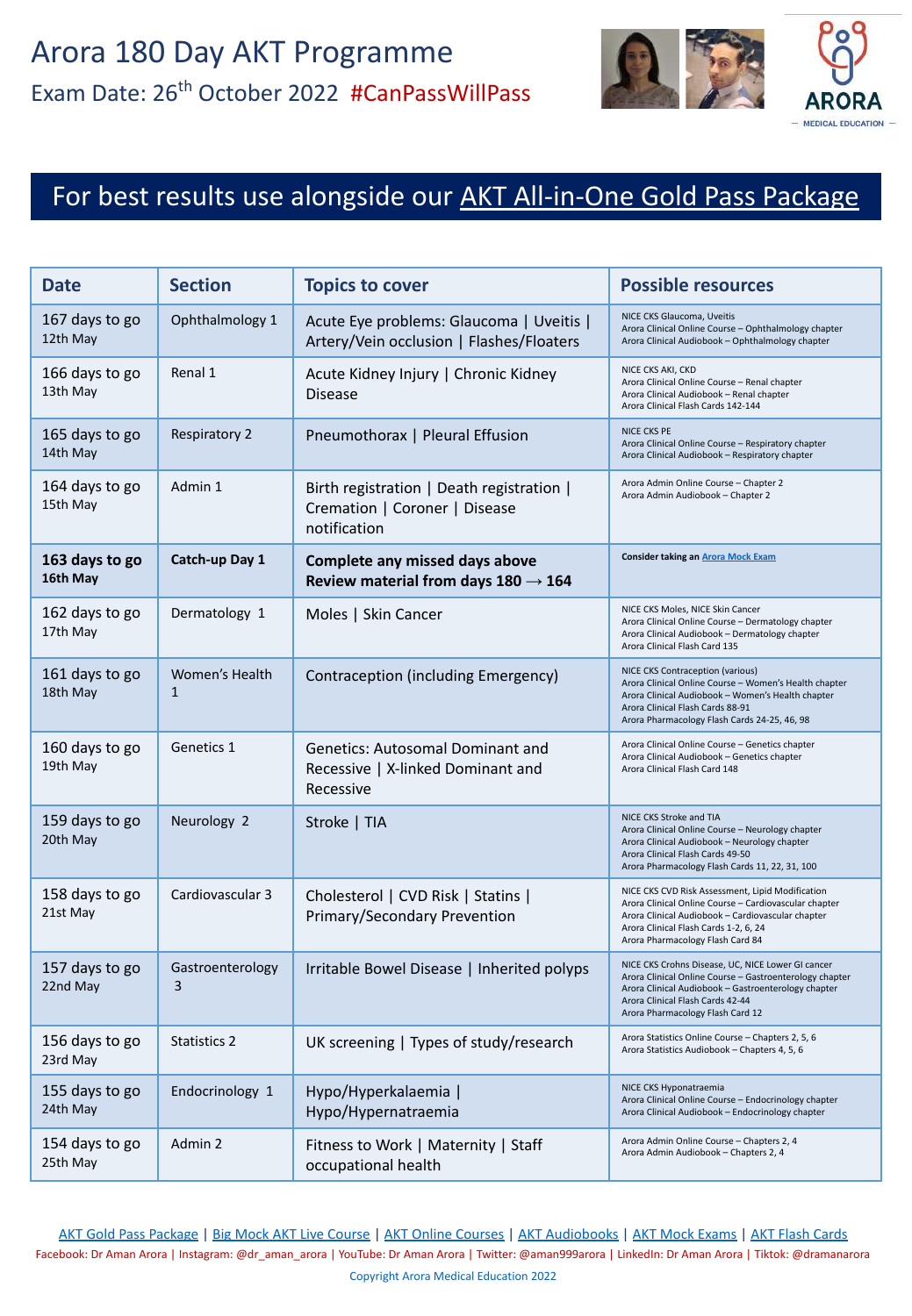

#### For best results use alongside our **[AKT All-in-One Gold Pass Package](https://aroramedicaleducation.co.uk/akt-gold-pass-package/)**

| <b>Date</b>                | <b>Section</b>                 | <b>Topics to cover</b>                                                                     | <b>Possible resources</b>                                                                                                                                                                                                                   |
|----------------------------|--------------------------------|--------------------------------------------------------------------------------------------|---------------------------------------------------------------------------------------------------------------------------------------------------------------------------------------------------------------------------------------------|
| 167 days to go<br>12th May | Ophthalmology 1                | Acute Eye problems: Glaucoma   Uveitis  <br>Artery/Vein occlusion   Flashes/Floaters       | NICE CKS Glaucoma, Uveitis<br>Arora Clinical Online Course - Ophthalmology chapter<br>Arora Clinical Audiobook - Ophthalmology chapter                                                                                                      |
| 166 days to go<br>13th May | Renal 1                        | Acute Kidney Injury   Chronic Kidney<br><b>Disease</b>                                     | NICE CKS AKI, CKD<br>Arora Clinical Online Course - Renal chapter<br>Arora Clinical Audiobook - Renal chapter<br>Arora Clinical Flash Cards 142-144                                                                                         |
| 165 days to go<br>14th May | <b>Respiratory 2</b>           | Pneumothorax   Pleural Effusion                                                            | NICE CKS PE<br>Arora Clinical Online Course - Respiratory chapter<br>Arora Clinical Audiobook - Respiratory chapter                                                                                                                         |
| 164 days to go<br>15th May | Admin 1                        | Birth registration   Death registration  <br>Cremation   Coroner   Disease<br>notification | Arora Admin Online Course - Chapter 2<br>Arora Admin Audiobook - Chapter 2                                                                                                                                                                  |
| 163 days to go<br>16th May | Catch-up Day 1                 | Complete any missed days above<br>Review material from days $180 \rightarrow 164$          | <b>Consider taking an Arora Mock Exam</b>                                                                                                                                                                                                   |
| 162 days to go<br>17th May | Dermatology 1                  | Moles   Skin Cancer                                                                        | NICE CKS Moles, NICE Skin Cancer<br>Arora Clinical Online Course - Dermatology chapter<br>Arora Clinical Audiobook - Dermatology chapter<br>Arora Clinical Flash Card 135                                                                   |
| 161 days to go<br>18th May | Women's Health<br>$\mathbf{1}$ | Contraception (including Emergency)                                                        | NICE CKS Contraception (various)<br>Arora Clinical Online Course - Women's Health chapter<br>Arora Clinical Audiobook - Women's Health chapter<br>Arora Clinical Flash Cards 88-91<br>Arora Pharmacology Flash Cards 24-25, 46, 98          |
| 160 days to go<br>19th May | Genetics 1                     | <b>Genetics: Autosomal Dominant and</b><br>Recessive   X-linked Dominant and<br>Recessive  | Arora Clinical Online Course - Genetics chapter<br>Arora Clinical Audiobook - Genetics chapter<br>Arora Clinical Flash Card 148                                                                                                             |
| 159 days to go<br>20th May | Neurology 2                    | Stroke   TIA                                                                               | NICE CKS Stroke and TIA<br>Arora Clinical Online Course - Neurology chapter<br>Arora Clinical Audiobook - Neurology chapter<br>Arora Clinical Flash Cards 49-50<br>Arora Pharmacology Flash Cards 11, 22, 31, 100                           |
| 158 days to go<br>21st May | Cardiovascular 3               | Cholesterol   CVD Risk   Statins  <br>Primary/Secondary Prevention                         | NICE CKS CVD Risk Assessment, Lipid Modification<br>Arora Clinical Online Course - Cardiovascular chapter<br>Arora Clinical Audiobook - Cardiovascular chapter<br>Arora Clinical Flash Cards 1-2, 6, 24<br>Arora Pharmacology Flash Card 84 |
| 157 days to go<br>22nd May | Gastroenterology<br>3          | Irritable Bowel Disease   Inherited polyps                                                 | NICE CKS Crohns Disease, UC, NICE Lower GI cancer<br>Arora Clinical Online Course - Gastroenterology chapter<br>Arora Clinical Audiobook - Gastroenterology chapter<br>Arora Clinical Flash Cards 42-44<br>Arora Pharmacology Flash Card 12 |
| 156 days to go<br>23rd May | <b>Statistics 2</b>            | UK screening   Types of study/research                                                     | Arora Statistics Online Course - Chapters 2, 5, 6<br>Arora Statistics Audiobook - Chapters 4, 5, 6                                                                                                                                          |
| 155 days to go<br>24th May | Endocrinology 1                | Hypo/Hyperkalaemia  <br>Hypo/Hypernatraemia                                                | NICE CKS Hyponatraemia<br>Arora Clinical Online Course - Endocrinology chapter<br>Arora Clinical Audiobook - Endocrinology chapter                                                                                                          |
| 154 days to go<br>25th May | Admin 2                        | Fitness to Work   Maternity   Staff<br>occupational health                                 | Arora Admin Online Course - Chapters 2, 4<br>Arora Admin Audiobook - Chapters 2, 4                                                                                                                                                          |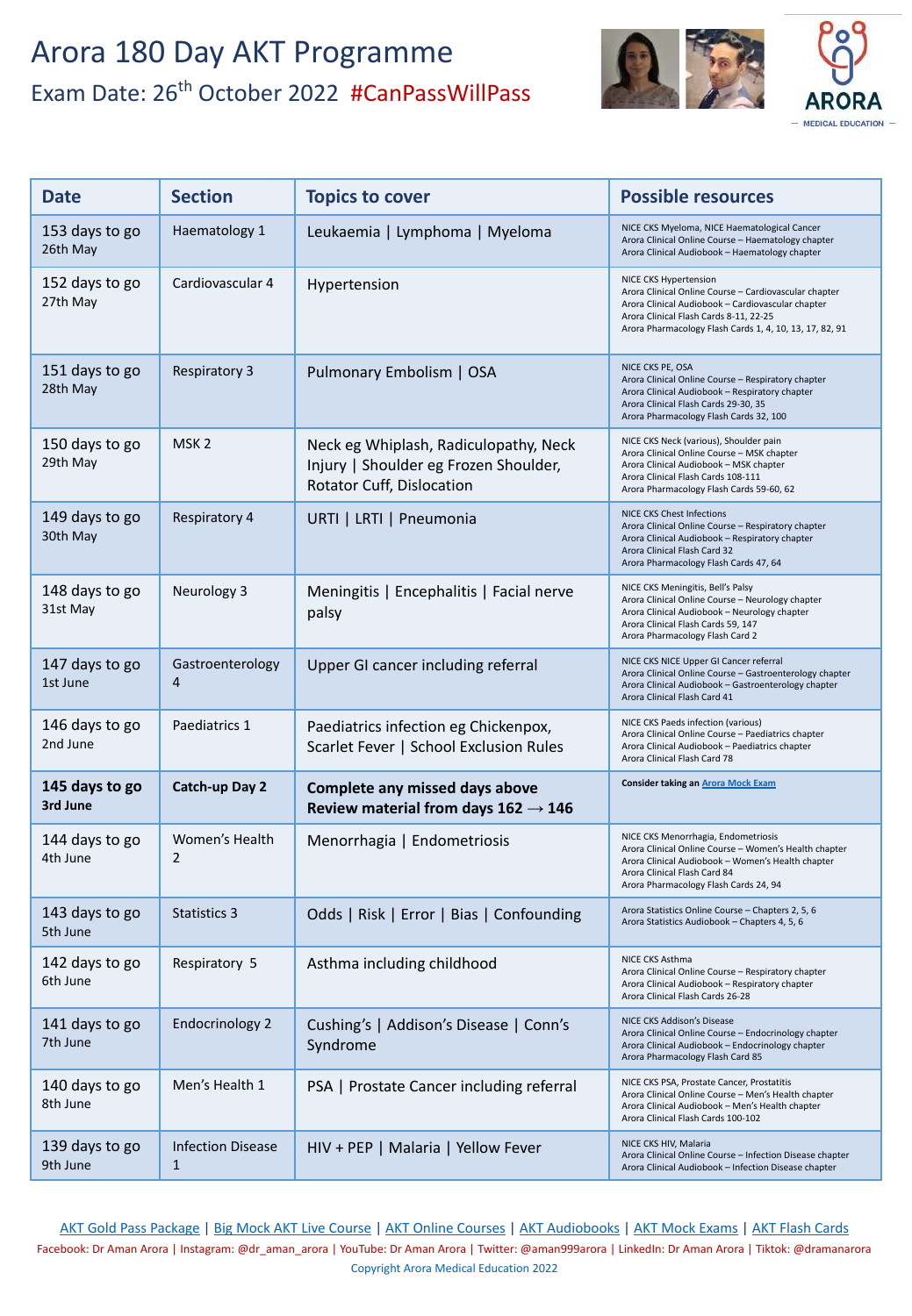

| <b>Date</b>                | <b>Section</b>                | <b>Topics to cover</b>                                                                                      | <b>Possible resources</b>                                                                                                                                                                                                                |
|----------------------------|-------------------------------|-------------------------------------------------------------------------------------------------------------|------------------------------------------------------------------------------------------------------------------------------------------------------------------------------------------------------------------------------------------|
| 153 days to go<br>26th May | Haematology 1                 | Leukaemia   Lymphoma   Myeloma                                                                              | NICE CKS Myeloma, NICE Haematological Cancer<br>Arora Clinical Online Course - Haematology chapter<br>Arora Clinical Audiobook - Haematology chapter                                                                                     |
| 152 days to go<br>27th May | Cardiovascular 4              | Hypertension                                                                                                | NICE CKS Hypertension<br>Arora Clinical Online Course - Cardiovascular chapter<br>Arora Clinical Audiobook - Cardiovascular chapter<br>Arora Clinical Flash Cards 8-11, 22-25<br>Arora Pharmacology Flash Cards 1, 4, 10, 13, 17, 82, 91 |
| 151 days to go<br>28th May | <b>Respiratory 3</b>          | Pulmonary Embolism   OSA                                                                                    | NICE CKS PE, OSA<br>Arora Clinical Online Course - Respiratory chapter<br>Arora Clinical Audiobook - Respiratory chapter<br>Arora Clinical Flash Cards 29-30, 35<br>Arora Pharmacology Flash Cards 32, 100                               |
| 150 days to go<br>29th May | MSK <sub>2</sub>              | Neck eg Whiplash, Radiculopathy, Neck<br>Injury   Shoulder eg Frozen Shoulder,<br>Rotator Cuff, Dislocation | NICE CKS Neck (various), Shoulder pain<br>Arora Clinical Online Course - MSK chapter<br>Arora Clinical Audiobook - MSK chapter<br>Arora Clinical Flash Cards 108-111<br>Arora Pharmacology Flash Cards 59-60, 62                         |
| 149 days to go<br>30th May | <b>Respiratory 4</b>          | URTI   LRTI   Pneumonia                                                                                     | NICE CKS Chest Infections<br>Arora Clinical Online Course - Respiratory chapter<br>Arora Clinical Audiobook - Respiratory chapter<br>Arora Clinical Flash Card 32<br>Arora Pharmacology Flash Cards 47, 64                               |
| 148 days to go<br>31st May | Neurology 3                   | Meningitis   Encephalitis   Facial nerve<br>palsy                                                           | NICE CKS Meningitis, Bell's Palsy<br>Arora Clinical Online Course - Neurology chapter<br>Arora Clinical Audiobook - Neurology chapter<br>Arora Clinical Flash Cards 59, 147<br>Arora Pharmacology Flash Card 2                           |
| 147 days to go<br>1st June | Gastroenterology<br>4         | Upper GI cancer including referral                                                                          | NICE CKS NICE Upper GI Cancer referral<br>Arora Clinical Online Course - Gastroenterology chapter<br>Arora Clinical Audiobook - Gastroenterology chapter<br>Arora Clinical Flash Card 41                                                 |
| 146 days to go<br>2nd June | Paediatrics 1                 | Paediatrics infection eg Chickenpox,<br>Scarlet Fever   School Exclusion Rules                              | NICE CKS Paeds infection (various)<br>Arora Clinical Online Course - Paediatrics chapter<br>Arora Clinical Audiobook - Paediatrics chapter<br>Arora Clinical Flash Card 78                                                               |
| 145 days to go<br>3rd June | Catch-up Day 2                | Complete any missed days above<br>Review material from days $162 \rightarrow 146$                           | <b>Consider taking an Arora Mock Exam</b>                                                                                                                                                                                                |
| 144 days to go<br>4th June | Women's Health<br>2           | Menorrhagia   Endometriosis                                                                                 | NICE CKS Menorrhagia, Endometriosis<br>Arora Clinical Online Course - Women's Health chapter<br>Arora Clinical Audiobook - Women's Health chapter<br>Arora Clinical Flash Card 84<br>Arora Pharmacology Flash Cards 24, 94               |
| 143 days to go<br>5th June | <b>Statistics 3</b>           | Odds   Risk   Error   Bias   Confounding                                                                    | Arora Statistics Online Course - Chapters 2, 5, 6<br>Arora Statistics Audiobook - Chapters 4, 5, 6                                                                                                                                       |
| 142 days to go<br>6th June | Respiratory 5                 | Asthma including childhood                                                                                  | NICE CKS Asthma<br>Arora Clinical Online Course - Respiratory chapter<br>Arora Clinical Audiobook - Respiratory chapter<br>Arora Clinical Flash Cards 26-28                                                                              |
| 141 days to go<br>7th June | <b>Endocrinology 2</b>        | Cushing's   Addison's Disease   Conn's<br>Syndrome                                                          | NICE CKS Addison's Disease<br>Arora Clinical Online Course - Endocrinology chapter<br>Arora Clinical Audiobook - Endocrinology chapter<br>Arora Pharmacology Flash Card 85                                                               |
| 140 days to go<br>8th June | Men's Health 1                | PSA   Prostate Cancer including referral                                                                    | NICE CKS PSA, Prostate Cancer, Prostatitis<br>Arora Clinical Online Course - Men's Health chapter<br>Arora Clinical Audiobook - Men's Health chapter<br>Arora Clinical Flash Cards 100-102                                               |
| 139 days to go<br>9th June | <b>Infection Disease</b><br>1 | HIV + PEP   Malaria   Yellow Fever                                                                          | NICE CKS HIV, Malaria<br>Arora Clinical Online Course - Infection Disease chapter<br>Arora Clinical Audiobook - Infection Disease chapter                                                                                                |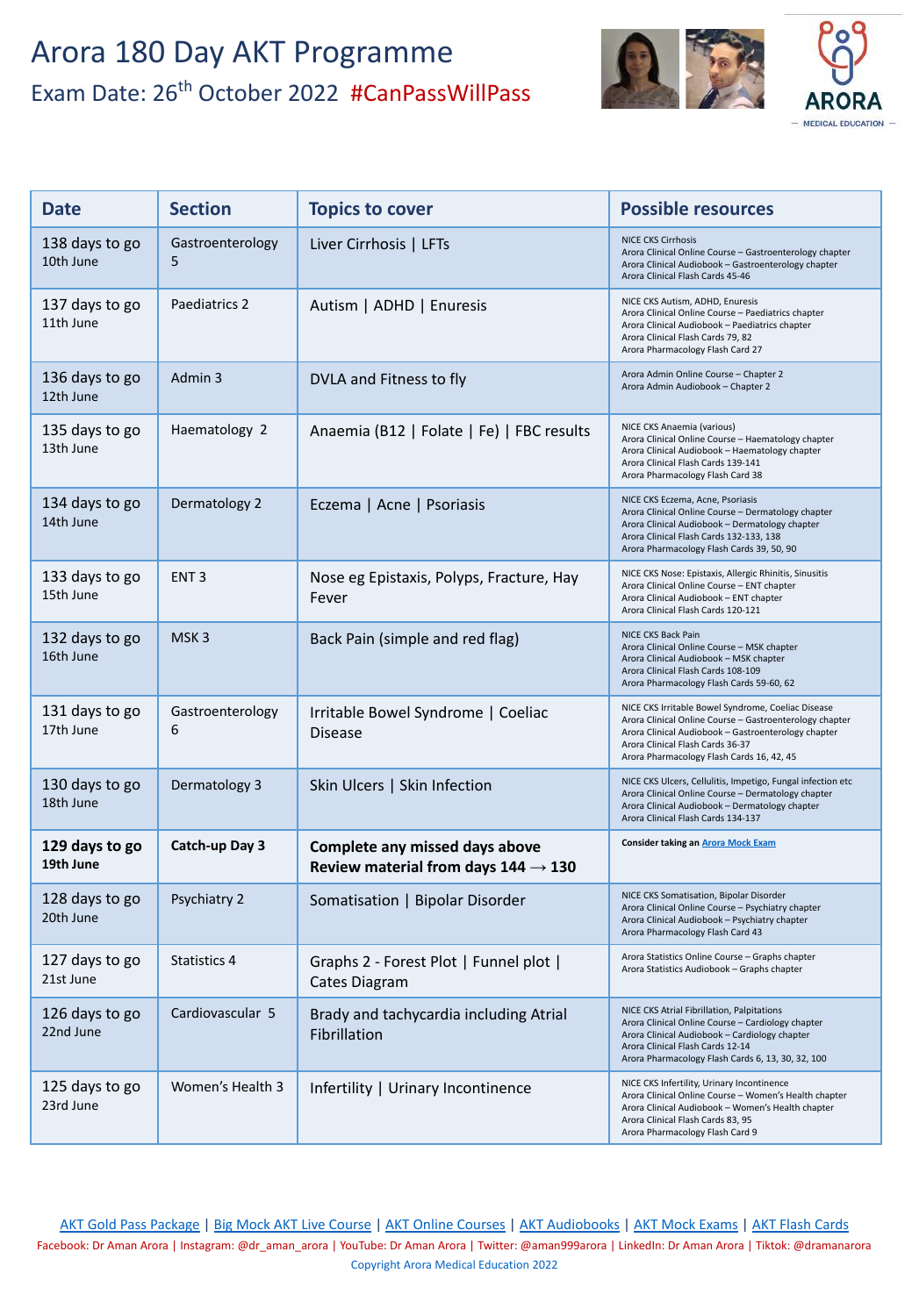

| <b>Date</b>                 | <b>Section</b>        | <b>Topics to cover</b>                                                            | <b>Possible resources</b>                                                                                                                                                                                                                             |
|-----------------------------|-----------------------|-----------------------------------------------------------------------------------|-------------------------------------------------------------------------------------------------------------------------------------------------------------------------------------------------------------------------------------------------------|
| 138 days to go<br>10th June | Gastroenterology<br>5 | Liver Cirrhosis   LFTs                                                            | <b>NICE CKS Cirrhosis</b><br>Arora Clinical Online Course - Gastroenterology chapter<br>Arora Clinical Audiobook - Gastroenterology chapter<br>Arora Clinical Flash Cards 45-46                                                                       |
| 137 days to go<br>11th June | Paediatrics 2         | Autism   ADHD   Enuresis                                                          | NICE CKS Autism, ADHD, Enuresis<br>Arora Clinical Online Course - Paediatrics chapter<br>Arora Clinical Audiobook - Paediatrics chapter<br>Arora Clinical Flash Cards 79, 82<br>Arora Pharmacology Flash Card 27                                      |
| 136 days to go<br>12th June | Admin 3               | DVLA and Fitness to fly                                                           | Arora Admin Online Course - Chapter 2<br>Arora Admin Audiobook - Chapter 2                                                                                                                                                                            |
| 135 days to go<br>13th June | Haematology 2         | Anaemia (B12   Folate   Fe)   FBC results                                         | NICE CKS Anaemia (various)<br>Arora Clinical Online Course - Haematology chapter<br>Arora Clinical Audiobook - Haematology chapter<br>Arora Clinical Flash Cards 139-141<br>Arora Pharmacology Flash Card 38                                          |
| 134 days to go<br>14th June | Dermatology 2         | Eczema   Acne   Psoriasis                                                         | NICE CKS Eczema, Acne, Psoriasis<br>Arora Clinical Online Course - Dermatology chapter<br>Arora Clinical Audiobook - Dermatology chapter<br>Arora Clinical Flash Cards 132-133, 138<br>Arora Pharmacology Flash Cards 39, 50, 90                      |
| 133 days to go<br>15th June | ENT <sub>3</sub>      | Nose eg Epistaxis, Polyps, Fracture, Hay<br>Fever                                 | NICE CKS Nose: Epistaxis, Allergic Rhinitis, Sinusitis<br>Arora Clinical Online Course - ENT chapter<br>Arora Clinical Audiobook - ENT chapter<br>Arora Clinical Flash Cards 120-121                                                                  |
| 132 days to go<br>16th June | MSK <sub>3</sub>      | Back Pain (simple and red flag)                                                   | NICE CKS Back Pain<br>Arora Clinical Online Course - MSK chapter<br>Arora Clinical Audiobook - MSK chapter<br>Arora Clinical Flash Cards 108-109<br>Arora Pharmacology Flash Cards 59-60, 62                                                          |
| 131 days to go<br>17th June | Gastroenterology<br>6 | Irritable Bowel Syndrome   Coeliac<br><b>Disease</b>                              | NICE CKS Irritable Bowel Syndrome, Coeliac Disease<br>Arora Clinical Online Course - Gastroenterology chapter<br>Arora Clinical Audiobook - Gastroenterology chapter<br>Arora Clinical Flash Cards 36-37<br>Arora Pharmacology Flash Cards 16, 42, 45 |
| 130 days to go<br>18th June | Dermatology 3         | Skin Ulcers   Skin Infection                                                      | NICE CKS Ulcers, Cellulitis, Impetigo, Fungal infection etc<br>Arora Clinical Online Course - Dermatology chapter<br>Arora Clinical Audiobook - Dermatology chapter<br>Arora Clinical Flash Cards 134-137                                             |
| 129 days to go<br>19th June | Catch-up Day 3        | Complete any missed days above<br>Review material from days $144 \rightarrow 130$ | <b>Consider taking an Arora Mock Exam</b>                                                                                                                                                                                                             |
| 128 days to go<br>20th June | Psychiatry 2          | Somatisation   Bipolar Disorder                                                   | NICE CKS Somatisation, Bipolar Disorder<br>Arora Clinical Online Course - Psychiatry chapter<br>Arora Clinical Audiobook - Psychiatry chapter<br>Arora Pharmacology Flash Card 43                                                                     |
| 127 days to go<br>21st June | <b>Statistics 4</b>   | Graphs 2 - Forest Plot   Funnel plot  <br>Cates Diagram                           | Arora Statistics Online Course - Graphs chapter<br>Arora Statistics Audiobook - Graphs chapter                                                                                                                                                        |
| 126 days to go<br>22nd June | Cardiovascular 5      | Brady and tachycardia including Atrial<br>Fibrillation                            | NICE CKS Atrial Fibrillation, Palpitations<br>Arora Clinical Online Course - Cardiology chapter<br>Arora Clinical Audiobook - Cardiology chapter<br>Arora Clinical Flash Cards 12-14<br>Arora Pharmacology Flash Cards 6, 13, 30, 32, 100             |
| 125 days to go<br>23rd June | Women's Health 3      | Infertility   Urinary Incontinence                                                | NICE CKS Infertility, Urinary Incontinence<br>Arora Clinical Online Course - Women's Health chapter<br>Arora Clinical Audiobook - Women's Health chapter<br>Arora Clinical Flash Cards 83, 95<br>Arora Pharmacology Flash Card 9                      |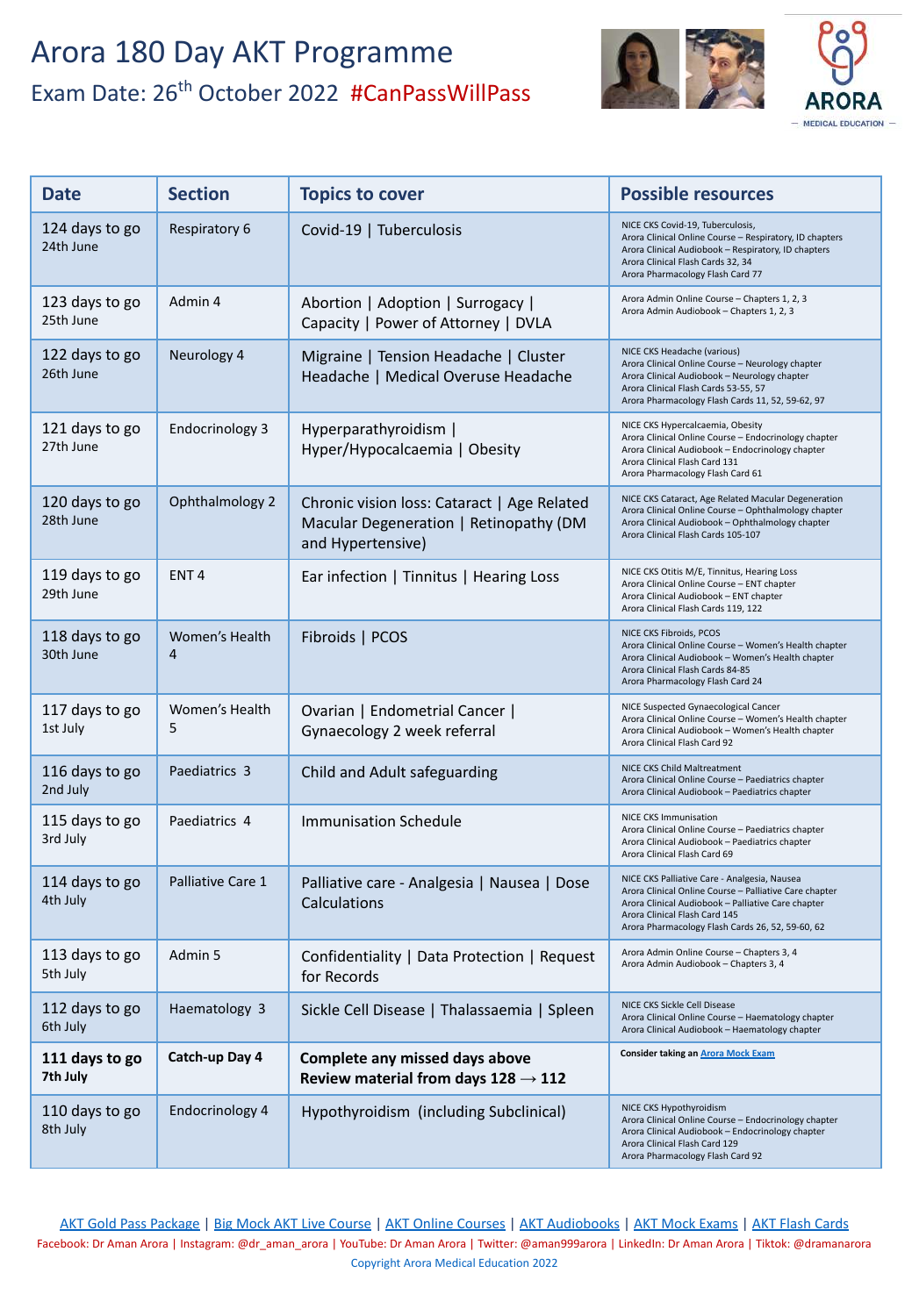

| <b>Date</b>                 | <b>Section</b>         | <b>Topics to cover</b>                                                                                     | <b>Possible resources</b>                                                                                                                                                                                                                         |
|-----------------------------|------------------------|------------------------------------------------------------------------------------------------------------|---------------------------------------------------------------------------------------------------------------------------------------------------------------------------------------------------------------------------------------------------|
| 124 days to go<br>24th June | Respiratory 6          | Covid-19   Tuberculosis                                                                                    | NICE CKS Covid-19, Tuberculosis,<br>Arora Clinical Online Course - Respiratory, ID chapters<br>Arora Clinical Audiobook - Respiratory, ID chapters<br>Arora Clinical Flash Cards 32, 34<br>Arora Pharmacology Flash Card 77                       |
| 123 days to go<br>25th June | Admin 4                | Abortion   Adoption   Surrogacy  <br>Capacity   Power of Attorney   DVLA                                   | Arora Admin Online Course - Chapters 1, 2, 3<br>Arora Admin Audiobook - Chapters 1, 2, 3                                                                                                                                                          |
| 122 days to go<br>26th June | Neurology 4            | Migraine   Tension Headache   Cluster<br>Headache   Medical Overuse Headache                               | NICE CKS Headache (various)<br>Arora Clinical Online Course - Neurology chapter<br>Arora Clinical Audiobook - Neurology chapter<br>Arora Clinical Flash Cards 53-55, 57<br>Arora Pharmacology Flash Cards 11, 52, 59-62, 97                       |
| 121 days to go<br>27th June | <b>Endocrinology 3</b> | Hyperparathyroidism  <br>Hyper/Hypocalcaemia   Obesity                                                     | NICE CKS Hypercalcaemia, Obesity<br>Arora Clinical Online Course - Endocrinology chapter<br>Arora Clinical Audiobook - Endocrinology chapter<br>Arora Clinical Flash Card 131<br>Arora Pharmacology Flash Card 61                                 |
| 120 days to go<br>28th June | Ophthalmology 2        | Chronic vision loss: Cataract   Age Related<br>Macular Degeneration   Retinopathy (DM<br>and Hypertensive) | NICE CKS Cataract, Age Related Macular Degeneration<br>Arora Clinical Online Course - Ophthalmology chapter<br>Arora Clinical Audiobook - Ophthalmology chapter<br>Arora Clinical Flash Cards 105-107                                             |
| 119 days to go<br>29th June | ENT <sub>4</sub>       | Ear infection   Tinnitus   Hearing Loss                                                                    | NICE CKS Otitis M/E, Tinnitus, Hearing Loss<br>Arora Clinical Online Course - ENT chapter<br>Arora Clinical Audiobook - ENT chapter<br>Arora Clinical Flash Cards 119, 122                                                                        |
| 118 days to go<br>30th June | Women's Health<br>4    | Fibroids   PCOS                                                                                            | NICE CKS Fibroids, PCOS<br>Arora Clinical Online Course - Women's Health chapter<br>Arora Clinical Audiobook - Women's Health chapter<br>Arora Clinical Flash Cards 84-85<br>Arora Pharmacology Flash Card 24                                     |
| 117 days to go<br>1st July  | Women's Health<br>5    | Ovarian   Endometrial Cancer  <br>Gynaecology 2 week referral                                              | NICE Suspected Gynaecological Cancer<br>Arora Clinical Online Course - Women's Health chapter<br>Arora Clinical Audiobook - Women's Health chapter<br>Arora Clinical Flash Card 92                                                                |
| 116 days to go<br>2nd July  | Paediatrics 3          | Child and Adult safeguarding                                                                               | NICE CKS Child Maltreatment<br>Arora Clinical Online Course - Paediatrics chapter<br>Arora Clinical Audiobook - Paediatrics chapter                                                                                                               |
| 115 days to go<br>3rd July  | Paediatrics 4          | <b>Immunisation Schedule</b>                                                                               | NICE CKS Immunisation<br>Arora Clinical Online Course - Paediatrics chapter<br>Arora Clinical Audiobook - Paediatrics chapter<br>Arora Clinical Flash Card 69                                                                                     |
| 114 days to go<br>4th July  | Palliative Care 1      | Palliative care - Analgesia   Nausea   Dose<br>Calculations                                                | NICE CKS Palliative Care - Analgesia, Nausea<br>Arora Clinical Online Course - Palliative Care chapter<br>Arora Clinical Audiobook - Palliative Care chapter<br>Arora Clinical Flash Card 145<br>Arora Pharmacology Flash Cards 26, 52, 59-60, 62 |
| 113 days to go<br>5th July  | Admin 5                | Confidentiality   Data Protection   Request<br>for Records                                                 | Arora Admin Online Course - Chapters 3, 4<br>Arora Admin Audiobook - Chapters 3, 4                                                                                                                                                                |
| 112 days to go<br>6th July  | Haematology 3          | Sickle Cell Disease   Thalassaemia   Spleen                                                                | NICE CKS Sickle Cell Disease<br>Arora Clinical Online Course - Haematology chapter<br>Arora Clinical Audiobook - Haematology chapter                                                                                                              |
| 111 days to go<br>7th July  | Catch-up Day 4         | Complete any missed days above<br>Review material from days $128 \rightarrow 112$                          | <b>Consider taking an Arora Mock Exam</b>                                                                                                                                                                                                         |
| 110 days to go<br>8th July  | Endocrinology 4        | Hypothyroidism (including Subclinical)                                                                     | NICE CKS Hypothyroidism<br>Arora Clinical Online Course - Endocrinology chapter<br>Arora Clinical Audiobook - Endocrinology chapter<br>Arora Clinical Flash Card 129<br>Arora Pharmacology Flash Card 92                                          |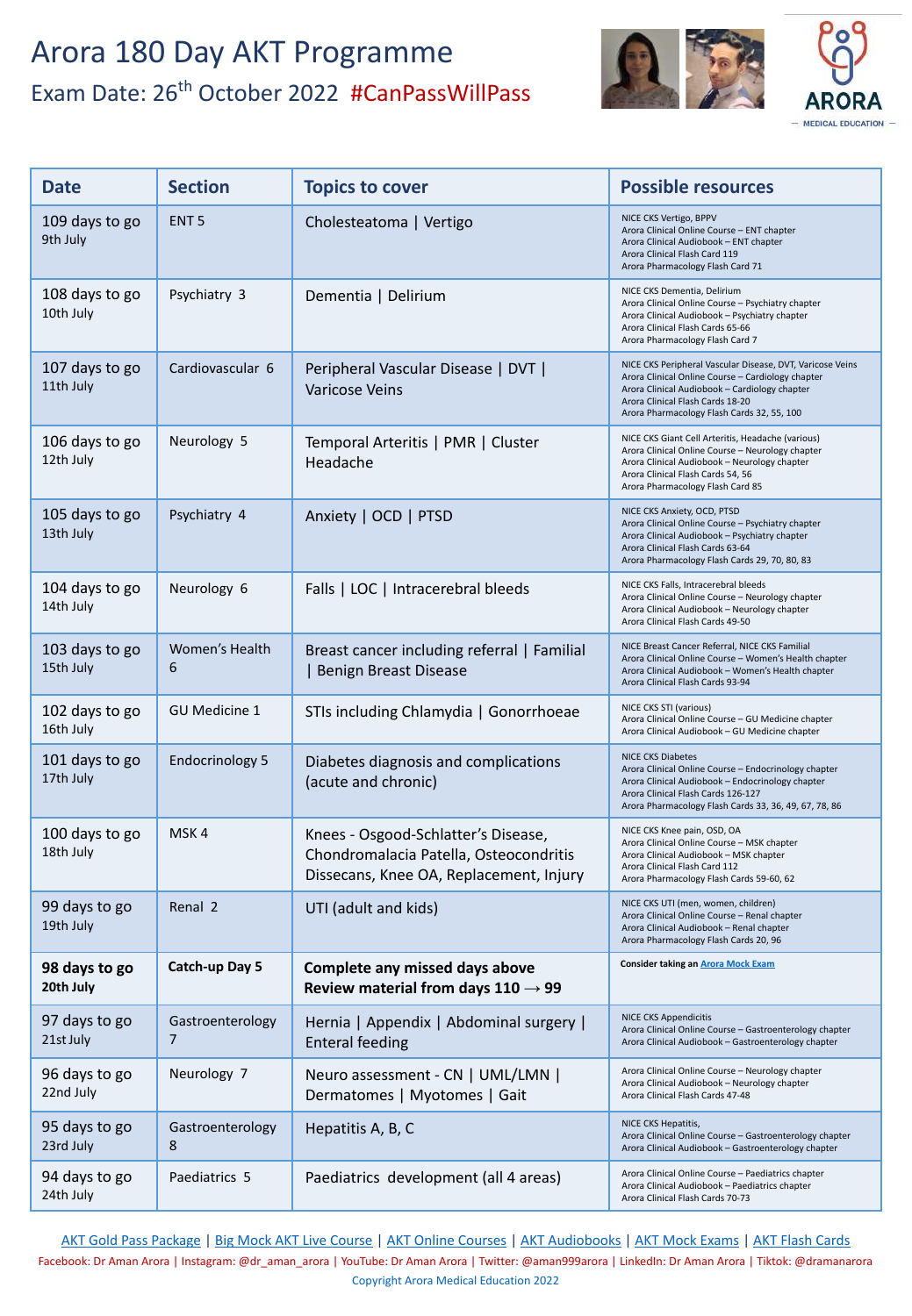

| <b>Date</b>                 | <b>Section</b>         | <b>Topics to cover</b>                                                                                                   | <b>Possible resources</b>                                                                                                                                                                                                                         |
|-----------------------------|------------------------|--------------------------------------------------------------------------------------------------------------------------|---------------------------------------------------------------------------------------------------------------------------------------------------------------------------------------------------------------------------------------------------|
| 109 days to go<br>9th July  | ENT <sub>5</sub>       | Cholesteatoma   Vertigo                                                                                                  | NICE CKS Vertigo, BPPV<br>Arora Clinical Online Course - ENT chapter<br>Arora Clinical Audiobook - ENT chapter<br>Arora Clinical Flash Card 119<br>Arora Pharmacology Flash Card 71                                                               |
| 108 days to go<br>10th July | Psychiatry 3           | Dementia   Delirium                                                                                                      | NICE CKS Dementia, Delirium<br>Arora Clinical Online Course - Psychiatry chapter<br>Arora Clinical Audiobook - Psychiatry chapter<br>Arora Clinical Flash Cards 65-66<br>Arora Pharmacology Flash Card 7                                          |
| 107 days to go<br>11th July | Cardiovascular 6       | Peripheral Vascular Disease   DVT  <br><b>Varicose Veins</b>                                                             | NICE CKS Peripheral Vascular Disease, DVT, Varicose Veins<br>Arora Clinical Online Course - Cardiology chapter<br>Arora Clinical Audiobook - Cardiology chapter<br>Arora Clinical Flash Cards 18-20<br>Arora Pharmacology Flash Cards 32, 55, 100 |
| 106 days to go<br>12th July | Neurology 5            | Temporal Arteritis   PMR   Cluster<br>Headache                                                                           | NICE CKS Giant Cell Arteritis, Headache (various)<br>Arora Clinical Online Course - Neurology chapter<br>Arora Clinical Audiobook - Neurology chapter<br>Arora Clinical Flash Cards 54, 56<br>Arora Pharmacology Flash Card 85                    |
| 105 days to go<br>13th July | Psychiatry 4           | Anxiety   OCD   PTSD                                                                                                     | NICE CKS Anxiety, OCD, PTSD<br>Arora Clinical Online Course - Psychiatry chapter<br>Arora Clinical Audiobook - Psychiatry chapter<br>Arora Clinical Flash Cards 63-64<br>Arora Pharmacology Flash Cards 29, 70, 80, 83                            |
| 104 days to go<br>14th July | Neurology 6            | Falls   LOC   Intracerebral bleeds                                                                                       | NICE CKS Falls, Intracerebral bleeds<br>Arora Clinical Online Course - Neurology chapter<br>Arora Clinical Audiobook - Neurology chapter<br>Arora Clinical Flash Cards 49-50                                                                      |
| 103 days to go<br>15th July | Women's Health<br>6    | Breast cancer including referral   Familial<br>  Benign Breast Disease                                                   | NICE Breast Cancer Referral, NICE CKS Familial<br>Arora Clinical Online Course - Women's Health chapter<br>Arora Clinical Audiobook - Women's Health chapter<br>Arora Clinical Flash Cards 93-94                                                  |
| 102 days to go<br>16th July | <b>GU Medicine 1</b>   | STIs including Chlamydia   Gonorrhoeae                                                                                   | NICE CKS STI (various)<br>Arora Clinical Online Course - GU Medicine chapter<br>Arora Clinical Audiobook - GU Medicine chapter                                                                                                                    |
| 101 days to go<br>17th July | <b>Endocrinology 5</b> | Diabetes diagnosis and complications<br>(acute and chronic)                                                              | <b>NICE CKS Diabetes</b><br>Arora Clinical Online Course - Endocrinology chapter<br>Arora Clinical Audiobook - Endocrinology chapter<br>Arora Clinical Flash Cards 126-127<br>Arora Pharmacology Flash Cards 33, 36, 49, 67, 78, 86               |
| 100 days to go<br>18th July | MSK4                   | Knees - Osgood-Schlatter's Disease,<br>Chondromalacia Patella, Osteocondritis<br>Dissecans, Knee OA, Replacement, Injury | NICE CKS Knee pain, OSD, OA<br>Arora Clinical Online Course - MSK chapter<br>Arora Clinical Audiobook - MSK chapter<br>Arora Clinical Flash Card 112<br>Arora Pharmacology Flash Cards 59-60, 62                                                  |
| 99 days to go<br>19th July  | Renal 2                | UTI (adult and kids)                                                                                                     | NICE CKS UTI (men, women, children)<br>Arora Clinical Online Course - Renal chapter<br>Arora Clinical Audiobook - Renal chapter<br>Arora Pharmacology Flash Cards 20, 96                                                                          |
| 98 days to go<br>20th July  | Catch-up Day 5         | Complete any missed days above<br>Review material from days $110 \rightarrow 99$                                         | <b>Consider taking an Arora Mock Exam</b>                                                                                                                                                                                                         |
| 97 days to go<br>21st July  | Gastroenterology<br>7  | Hernia   Appendix   Abdominal surgery  <br><b>Enteral feeding</b>                                                        | <b>NICE CKS Appendicitis</b><br>Arora Clinical Online Course - Gastroenterology chapter<br>Arora Clinical Audiobook - Gastroenterology chapter                                                                                                    |
| 96 days to go<br>22nd July  | Neurology 7            | Neuro assessment - CN   UML/LMN  <br>Dermatomes   Myotomes   Gait                                                        | Arora Clinical Online Course - Neurology chapter<br>Arora Clinical Audiobook - Neurology chapter<br>Arora Clinical Flash Cards 47-48                                                                                                              |
| 95 days to go<br>23rd July  | Gastroenterology<br>8  | Hepatitis A, B, C                                                                                                        | NICE CKS Hepatitis,<br>Arora Clinical Online Course - Gastroenterology chapter<br>Arora Clinical Audiobook - Gastroenterology chapter                                                                                                             |
| 94 days to go<br>24th July  | Paediatrics 5          | Paediatrics development (all 4 areas)                                                                                    | Arora Clinical Online Course - Paediatrics chapter<br>Arora Clinical Audiobook - Paediatrics chapter<br>Arora Clinical Flash Cards 70-73                                                                                                          |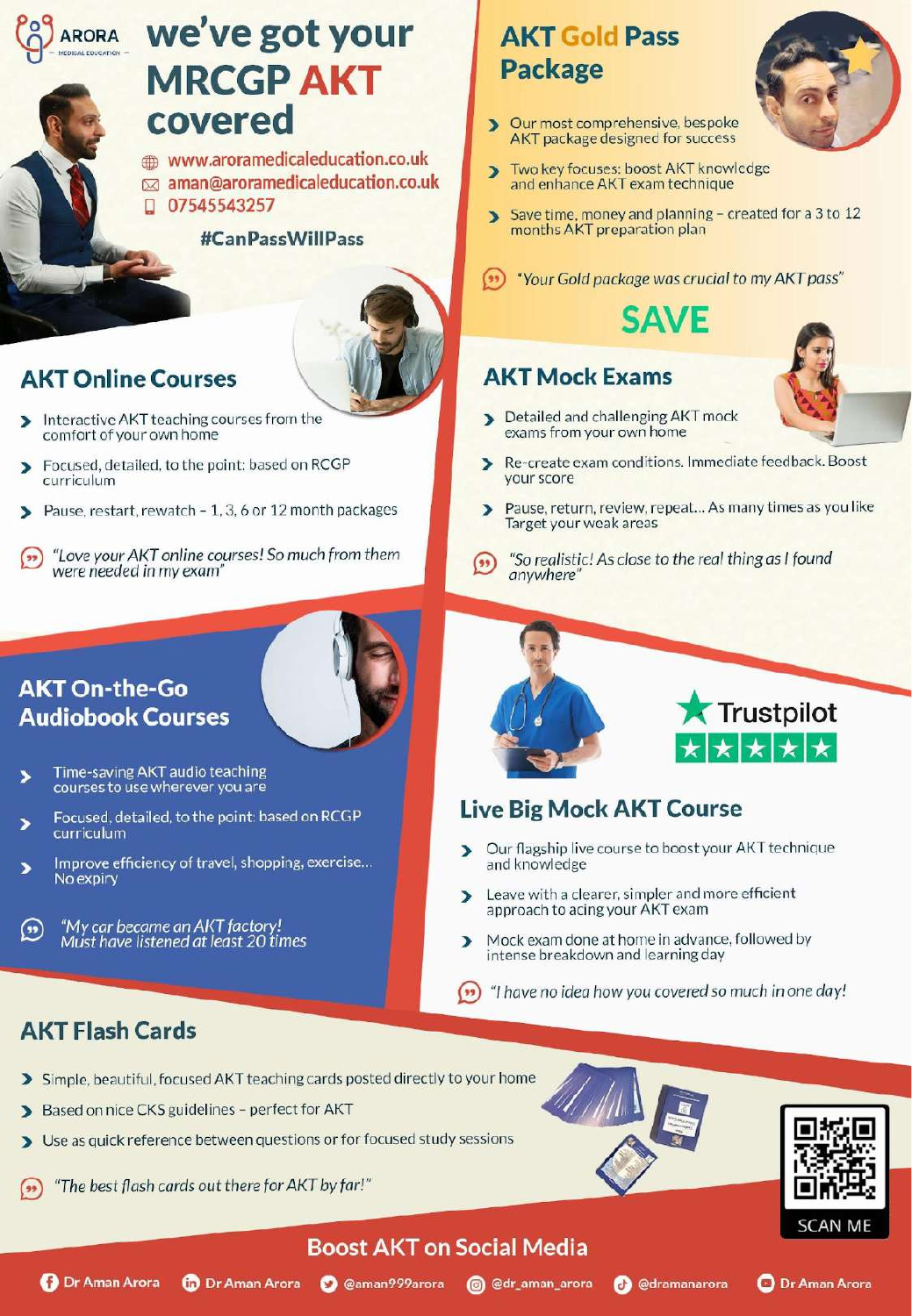8th October

109 days to go and the second 9th October

108 days to go to go to go to go to go to go to go to go to go to go to go to go to go to go to go to go to go

# ARORA We've got your MRCGP AKT<br>covered

www.aroramedicaleducation.co.uk **Definition Data in the Coverant Coverant Coverant Post in the Section Coverant Post in the Section Coverant Post and enhance AKT exam technique** 110 days to go to go to go to go to go to go to go to go to go to go to go to go to go to go to go to go to go

#CanPassWillPass



#### **AKT Online Courses**  $107$  days to  $\frac{1}{2}$

- Interactive AKT teaching courses from the comfort of your own home
- Enguard datailed to the point: based on PCCD  $\mathbf{z}$  $H$ culum
- Pause, restart, rewatch 1, 3, 6 or 12 month packages э
- were needed in my exam"

Women's Health

#### 102 days to go and the 1a1opoc

103 days to go

Breast cancer including referral | Familial | Benign Breast Disease

Enteral feeding

- Time-saving AKT audio teaching<br>courses to use wherever you are
- Focused, detailed, to the point: based on RCGP  $\blacksquare$   $\blacksquare$  IVe BIg curriculum Chondromalacia Patella, Os Diss, OA,
- Improve efficiency of travel, shopping, exercise... No expiry
	- **98 days curricle**<br>Must have catch-up Day 5 **Complete any missed days above** any missed days above any missed of the second of the second of the second of the second of the second of the second of the second of the second of the second of the second o

#### **AKT Flash Cards** Neurology 7 Neuro assessment - CN | UML/LMN | DMG Arora Clinical Online Course – Neurology chapter

**O** Dr Aman Arora

97 days to go

- > Simple, beautiful, focused AKT teaching cards posted directly to your home
- Based on nice CKS guidelines perfect for AKT  $\blacktriangleright$
- > Use as quick reference between questions or for focused study sessions
- "The best flash cards out there for AKT by far!"



**O** @dramanarora



**O** Dr Aman Arora

# **AKT Gold Pass**

- Our most comprehensive, bespoke  $\blacktriangleright$ AKT package designed for success
- 
- U/54554325/<br>
Save time, money and planning created for a 3 to months AKT preparation plan

ENTERNATION IN CHOREST COURSE (1999) "Your Gold package was crucial to my AK

## **SAVE**

#### **AKT Mock Exams**



- Detailed and challenging AKT mock X exams from your own home
- <sub>onditions. Immediate feedback. Bot</sub> vour score
- Patter 1, 3, 8 OC 12 Month packages<br>
Target your weak areas
- "So realistic! As close to the real thing as I found  $($  $M_{\text{e}}$   $\sim$   $M_{\text{e}}$   $\sim$   $M_{\text{e}}$   $\sim$   $M_{\text{e}}$   $\sim$   $M_{\text{e}}$   $\sim$   $M_{\text{e}}$   $\sim$   $M_{\text{e}}$   $\sim$   $M_{\text{e}}$   $\sim$   $M_{\text{e}}$   $\sim$   $M_{\text{e}}$   $\sim$   $M_{\text{e}}$   $\sim$   $M_{\text{e}}$   $\sim$   $M_{\text{e}}$   $\sim$   $M_{\text{e}}$   $\sim$   $M_{\text{e}}$



#### AR I Course

- Our flagship live course to boost your AKT technique and knowledge
- Renal 2 UTI (adult and kids) NICE CKS UTI (men, women, children) and children in the number of ficient  $\blacksquare$ approach to acing your AKT exam
	- **Review breakdown and learning day** Mock exam done at home in advance, followed by
	- $\blacksquare$  Appendix  $\blacksquare$  arora Chappendicity in the vector of the course of the Course of Theorem in the Course of Theorem in the Course of Theorem in the Course of Theorem in the Course of Theorem in the Course of Theorem

Arora Clinical Audiobook – Neurology chapter

Boost AKT on Social Media

Copyright Arora Copyright Around 2021, 2021 Education 2021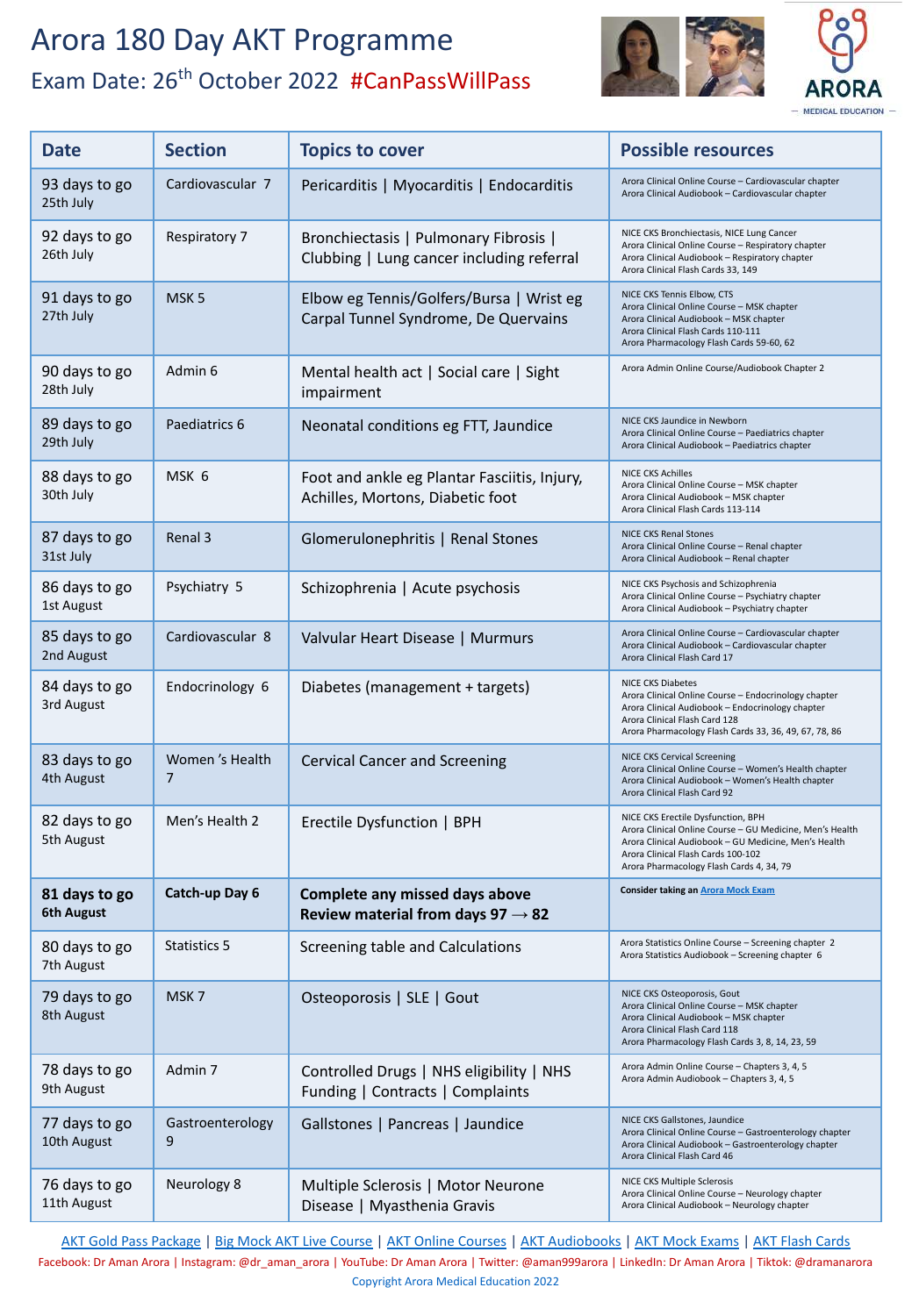

| <b>Date</b>                  | <b>Section</b>        | <b>Topics to cover</b>                                                             | <b>Possible resources</b>                                                                                                                                                                                                                |
|------------------------------|-----------------------|------------------------------------------------------------------------------------|------------------------------------------------------------------------------------------------------------------------------------------------------------------------------------------------------------------------------------------|
| 93 days to go<br>25th July   | Cardiovascular 7      | Pericarditis   Myocarditis   Endocarditis                                          | Arora Clinical Online Course - Cardiovascular chapter<br>Arora Clinical Audiobook - Cardiovascular chapter                                                                                                                               |
| 92 days to go<br>26th July   | Respiratory 7         | Bronchiectasis   Pulmonary Fibrosis  <br>Clubbing   Lung cancer including referral | NICE CKS Bronchiectasis, NICE Lung Cancer<br>Arora Clinical Online Course - Respiratory chapter<br>Arora Clinical Audiobook - Respiratory chapter<br>Arora Clinical Flash Cards 33, 149                                                  |
| 91 days to go<br>27th July   | MSK <sub>5</sub>      | Elbow eg Tennis/Golfers/Bursa   Wrist eg<br>Carpal Tunnel Syndrome, De Quervains   | NICE CKS Tennis Elbow, CTS<br>Arora Clinical Online Course - MSK chapter<br>Arora Clinical Audiobook - MSK chapter<br>Arora Clinical Flash Cards 110-111<br>Arora Pharmacology Flash Cards 59-60, 62                                     |
| 90 days to go<br>28th July   | Admin 6               | Mental health act   Social care   Sight<br>impairment                              | Arora Admin Online Course/Audiobook Chapter 2                                                                                                                                                                                            |
| 89 days to go<br>29th July   | Paediatrics 6         | Neonatal conditions eg FTT, Jaundice                                               | NICE CKS Jaundice in Newborn<br>Arora Clinical Online Course - Paediatrics chapter<br>Arora Clinical Audiobook - Paediatrics chapter                                                                                                     |
| 88 days to go<br>30th July   | MSK 6                 | Foot and ankle eg Plantar Fasciitis, Injury,<br>Achilles, Mortons, Diabetic foot   | <b>NICE CKS Achilles</b><br>Arora Clinical Online Course - MSK chapter<br>Arora Clinical Audiobook - MSK chapter<br>Arora Clinical Flash Cards 113-114                                                                                   |
| 87 days to go<br>31st July   | Renal 3               | Glomerulonephritis   Renal Stones                                                  | <b>NICE CKS Renal Stones</b><br>Arora Clinical Online Course - Renal chapter<br>Arora Clinical Audiobook - Renal chapter                                                                                                                 |
| 86 days to go<br>1st August  | Psychiatry 5          | Schizophrenia   Acute psychosis                                                    | NICE CKS Psychosis and Schizophrenia<br>Arora Clinical Online Course - Psychiatry chapter<br>Arora Clinical Audiobook - Psychiatry chapter                                                                                               |
| 85 days to go<br>2nd August  | Cardiovascular 8      | Valvular Heart Disease   Murmurs                                                   | Arora Clinical Online Course - Cardiovascular chapter<br>Arora Clinical Audiobook - Cardiovascular chapter<br>Arora Clinical Flash Card 17                                                                                               |
| 84 days to go<br>3rd August  | Endocrinology 6       | Diabetes (management + targets)                                                    | <b>NICE CKS Diabetes</b><br>Arora Clinical Online Course - Endocrinology chapter<br>Arora Clinical Audiobook - Endocrinology chapter<br>Arora Clinical Flash Card 128<br>Arora Pharmacology Flash Cards 33, 36, 49, 67, 78, 86           |
| 83 days to go<br>4th August  | Women's Health<br>7   | <b>Cervical Cancer and Screening</b>                                               | <b>NICE CKS Cervical Screening</b><br>Arora Clinical Online Course - Women's Health chapter<br>Arora Clinical Audiobook - Women's Health chapter<br>Arora Clinical Flash Card 92                                                         |
| 82 days to go<br>5th August  | Men's Health 2        | Erectile Dysfunction   BPH                                                         | NICE CKS Erectile Dysfunction, BPH<br>Arora Clinical Online Course - GU Medicine, Men's Health<br>Arora Clinical Audiobook - GU Medicine, Men's Health<br>Arora Clinical Flash Cards 100-102<br>Arora Pharmacology Flash Cards 4, 34, 79 |
| 81 days to go<br>6th August  | Catch-up Day 6        | Complete any missed days above<br>Review material from days 97 $\rightarrow$ 82    | <b>Consider taking an Arora Mock Exam</b>                                                                                                                                                                                                |
| 80 days to go<br>7th August  | Statistics 5          | Screening table and Calculations                                                   | Arora Statistics Online Course - Screening chapter 2<br>Arora Statistics Audiobook - Screening chapter 6                                                                                                                                 |
| 79 days to go<br>8th August  | MSK7                  | Osteoporosis   SLE   Gout                                                          | NICE CKS Osteoporosis, Gout<br>Arora Clinical Online Course - MSK chapter<br>Arora Clinical Audiobook - MSK chapter<br>Arora Clinical Flash Card 118<br>Arora Pharmacology Flash Cards 3, 8, 14, 23, 59                                  |
| 78 days to go<br>9th August  | Admin 7               | Controlled Drugs   NHS eligibility   NHS<br>Funding   Contracts   Complaints       | Arora Admin Online Course - Chapters 3, 4, 5<br>Arora Admin Audiobook - Chapters 3, 4, 5                                                                                                                                                 |
| 77 days to go<br>10th August | Gastroenterology<br>9 | Gallstones   Pancreas   Jaundice                                                   | NICE CKS Gallstones, Jaundice<br>Arora Clinical Online Course - Gastroenterology chapter<br>Arora Clinical Audiobook - Gastroenterology chapter<br>Arora Clinical Flash Card 46                                                          |
| 76 days to go<br>11th August | Neurology 8           | Multiple Sclerosis   Motor Neurone<br>Disease   Myasthenia Gravis                  | NICE CKS Multiple Sclerosis<br>Arora Clinical Online Course - Neurology chapter<br>Arora Clinical Audiobook - Neurology chapter                                                                                                          |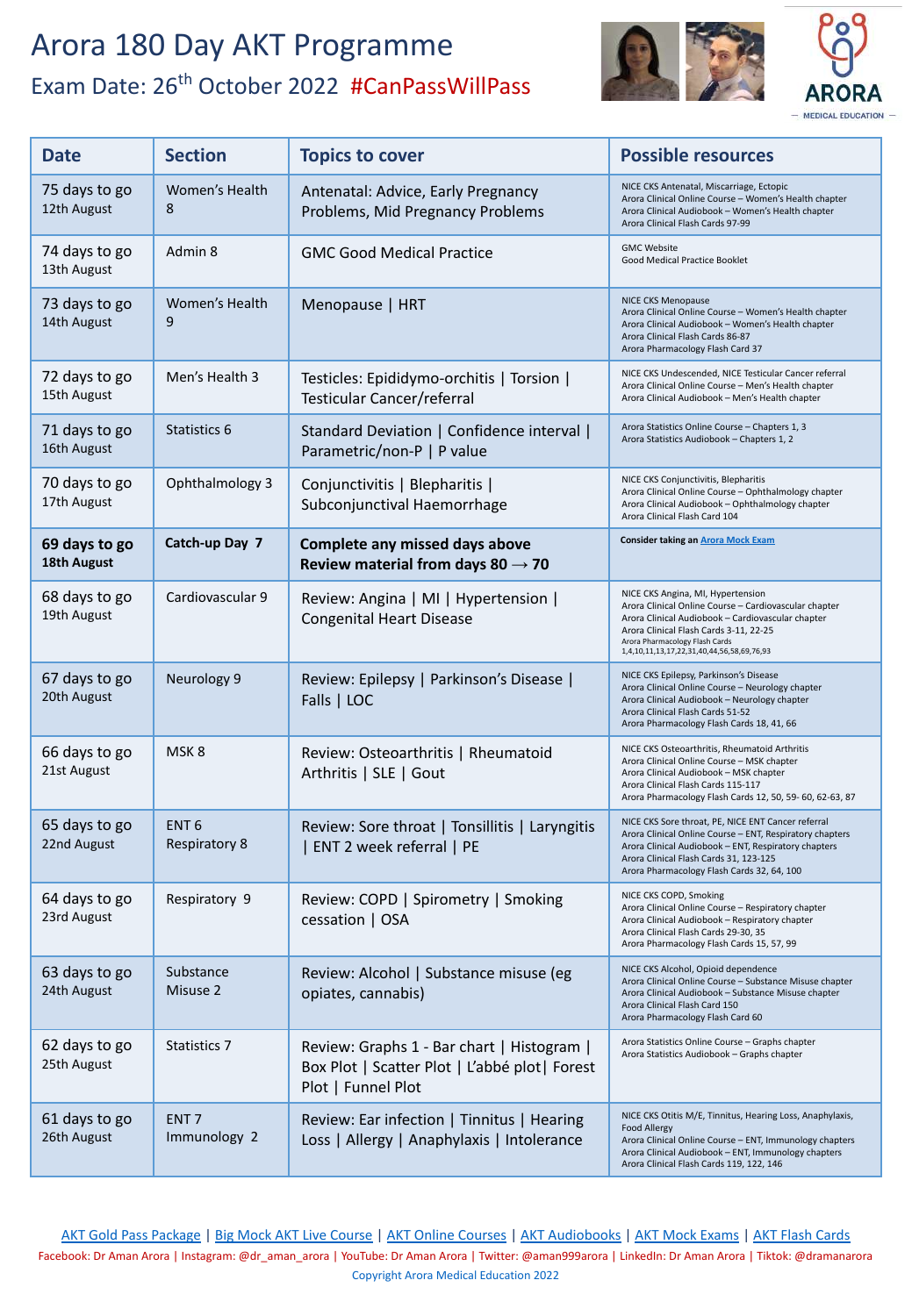

- MEDICAL EDUCATION -

| <b>Date</b>                  | <b>Section</b>                           | <b>Topics to cover</b>                                                                                             | <b>Possible resources</b>                                                                                                                                                                                                                                                 |
|------------------------------|------------------------------------------|--------------------------------------------------------------------------------------------------------------------|---------------------------------------------------------------------------------------------------------------------------------------------------------------------------------------------------------------------------------------------------------------------------|
| 75 days to go<br>12th August | Women's Health<br>8                      | Antenatal: Advice, Early Pregnancy<br>Problems, Mid Pregnancy Problems                                             | NICE CKS Antenatal, Miscarriage, Ectopic<br>Arora Clinical Online Course - Women's Health chapter<br>Arora Clinical Audiobook - Women's Health chapter<br>Arora Clinical Flash Cards 97-99                                                                                |
| 74 days to go<br>13th August | Admin 8                                  | <b>GMC Good Medical Practice</b>                                                                                   | <b>GMC Website</b><br>Good Medical Practice Booklet                                                                                                                                                                                                                       |
| 73 days to go<br>14th August | Women's Health<br>9                      | Menopause   HRT                                                                                                    | NICE CKS Menopause<br>Arora Clinical Online Course - Women's Health chapter<br>Arora Clinical Audiobook - Women's Health chapter<br>Arora Clinical Flash Cards 86-87<br>Arora Pharmacology Flash Card 37                                                                  |
| 72 days to go<br>15th August | Men's Health 3                           | Testicles: Epididymo-orchitis   Torsion  <br>Testicular Cancer/referral                                            | NICE CKS Undescended, NICE Testicular Cancer referral<br>Arora Clinical Online Course - Men's Health chapter<br>Arora Clinical Audiobook - Men's Health chapter                                                                                                           |
| 71 days to go<br>16th August | Statistics 6                             | Standard Deviation   Confidence interval  <br>Parametric/non-P   P value                                           | Arora Statistics Online Course - Chapters 1, 3<br>Arora Statistics Audiobook - Chapters 1, 2                                                                                                                                                                              |
| 70 days to go<br>17th August | Ophthalmology 3                          | Conjunctivitis   Blepharitis  <br>Subconjunctival Haemorrhage                                                      | NICE CKS Conjunctivitis, Blepharitis<br>Arora Clinical Online Course - Ophthalmology chapter<br>Arora Clinical Audiobook - Ophthalmology chapter<br>Arora Clinical Flash Card 104                                                                                         |
| 69 days to go<br>18th August | Catch-up Day 7                           | Complete any missed days above<br>Review material from days 80 $\rightarrow$ 70                                    | <b>Consider taking an Arora Mock Exam</b>                                                                                                                                                                                                                                 |
| 68 days to go<br>19th August | Cardiovascular 9                         | Review: Angina   MI   Hypertension  <br><b>Congenital Heart Disease</b>                                            | NICE CKS Angina, MI, Hypertension<br>Arora Clinical Online Course - Cardiovascular chapter<br>Arora Clinical Audiobook - Cardiovascular chapter<br>Arora Clinical Flash Cards 3-11, 22-25<br>Arora Pharmacology Flash Cards<br>1,4,10,11,13,17,22,31,40,44,56,58,69,76,93 |
| 67 days to go<br>20th August | Neurology 9                              | Review: Epilepsy   Parkinson's Disease  <br>Falls   LOC                                                            | NICE CKS Epilepsy, Parkinson's Disease<br>Arora Clinical Online Course - Neurology chapter<br>Arora Clinical Audiobook - Neurology chapter<br>Arora Clinical Flash Cards 51-52<br>Arora Pharmacology Flash Cards 18, 41, 66                                               |
| 66 days to go<br>21st August | MSK <sub>8</sub>                         | Review: Osteoarthritis   Rheumatoid<br>Arthritis   SLE   Gout                                                      | NICE CKS Osteoarthritis, Rheumatoid Arthritis<br>Arora Clinical Online Course - MSK chapter<br>Arora Clinical Audiobook - MSK chapter<br>Arora Clinical Flash Cards 115-117<br>Arora Pharmacology Flash Cards 12, 50, 59- 60, 62-63, 87                                   |
| 65 days to go<br>22nd August | ENT <sub>6</sub><br><b>Respiratory 8</b> | Review: Sore throat   Tonsillitis   Laryngitis<br>  ENT 2 week referral   PE                                       | NICE CKS Sore throat, PE, NICE ENT Cancer referral<br>Arora Clinical Online Course - ENT, Respiratory chapters<br>Arora Clinical Audiobook - ENT, Respiratory chapters<br>Arora Clinical Flash Cards 31, 123-125<br>Arora Pharmacology Flash Cards 32, 64, 100            |
| 64 days to go<br>23rd August | Respiratory 9                            | Review: COPD   Spirometry   Smoking<br>cessation   OSA                                                             | NICE CKS COPD, Smoking<br>Arora Clinical Online Course - Respiratory chapter<br>Arora Clinical Audiobook - Respiratory chapter<br>Arora Clinical Flash Cards 29-30, 35<br>Arora Pharmacology Flash Cards 15, 57, 99                                                       |
| 63 days to go<br>24th August | Substance<br>Misuse 2                    | Review: Alcohol   Substance misuse (eg<br>opiates, cannabis)                                                       | NICE CKS Alcohol, Opioid dependence<br>Arora Clinical Online Course - Substance Misuse chapter<br>Arora Clinical Audiobook - Substance Misuse chapter<br>Arora Clinical Flash Card 150<br>Arora Pharmacology Flash Card 60                                                |
| 62 days to go<br>25th August | <b>Statistics 7</b>                      | Review: Graphs 1 - Bar chart   Histogram  <br>Box Plot   Scatter Plot   L'abbé plot   Forest<br>Plot   Funnel Plot | Arora Statistics Online Course - Graphs chapter<br>Arora Statistics Audiobook - Graphs chapter                                                                                                                                                                            |
| 61 days to go<br>26th August | ENT <sub>7</sub><br>Immunology 2         | Review: Ear infection   Tinnitus   Hearing<br>Loss   Allergy   Anaphylaxis   Intolerance                           | NICE CKS Otitis M/E, Tinnitus, Hearing Loss, Anaphylaxis,<br><b>Food Allergy</b><br>Arora Clinical Online Course - ENT, Immunology chapters<br>Arora Clinical Audiobook - ENT, Immunology chapters<br>Arora Clinical Flash Cards 119, 122, 146                            |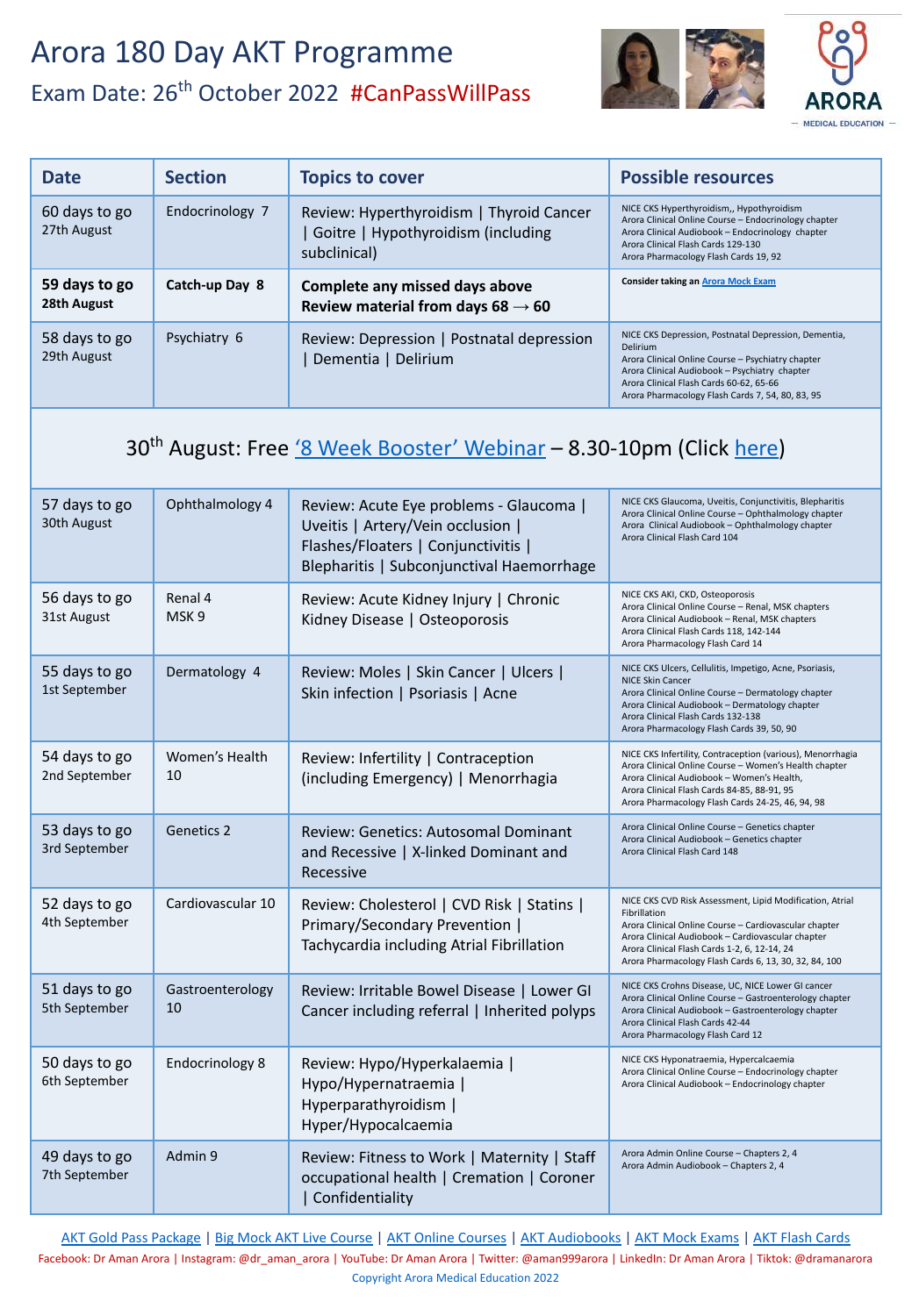

| <b>Date</b>                  | <b>Section</b>  | <b>Topics to cover</b>                                                                         | <b>Possible resources</b>                                                                                                                                                                                                                                                    |
|------------------------------|-----------------|------------------------------------------------------------------------------------------------|------------------------------------------------------------------------------------------------------------------------------------------------------------------------------------------------------------------------------------------------------------------------------|
| 60 days to go<br>27th August | Endocrinology 7 | Review: Hyperthyroidism   Thyroid Cancer<br>Goitre   Hypothyroidism (including<br>subclinical) | NICE CKS Hyperthyroidism,, Hypothyroidism<br>Arora Clinical Online Course - Endocrinology chapter<br>Arora Clinical Audiobook - Endocrinology chapter<br>Arora Clinical Flash Cards 129-130<br>Arora Pharmacology Flash Cards 19, 92                                         |
| 59 days to go<br>28th August | Catch-up Day 8  | Complete any missed days above<br>Review material from days 68 $\rightarrow$ 60                | <b>Consider taking an Arora Mock Exam</b>                                                                                                                                                                                                                                    |
| 58 days to go<br>29th August | Psychiatry 6    | Review: Depression   Postnatal depression<br>Dementia   Delirium                               | NICE CKS Depression, Postnatal Depression, Dementia,<br><b>Delirium</b><br>Arora Clinical Online Course - Psychiatry chapter<br>Arora Clinical Audiobook - Psychiatry chapter<br>Arora Clinical Flash Cards 60-62, 65-66<br>Arora Pharmacology Flash Cards 7, 54, 80, 83, 95 |

#### 30<sup>th</sup> August: Free ['8 Week Booster' Webinar](https://aroramedicaleducation.co.uk/webinars/) - 8.30-10pm (Click [here](https://aroramedicaleducation.co.uk/webinars/))

| 57 days to go<br>30th August   | Ophthalmology 4             | Review: Acute Eye problems - Glaucoma  <br>Uveitis   Artery/Vein occlusion  <br>Flashes/Floaters   Conjunctivitis  <br>Blepharitis   Subconjunctival Haemorrhage | NICE CKS Glaucoma, Uveitis, Conjunctivitis, Blepharitis<br>Arora Clinical Online Course - Ophthalmology chapter<br>Arora Clinical Audiobook - Ophthalmology chapter<br>Arora Clinical Flash Card 104                                                                                            |
|--------------------------------|-----------------------------|------------------------------------------------------------------------------------------------------------------------------------------------------------------|-------------------------------------------------------------------------------------------------------------------------------------------------------------------------------------------------------------------------------------------------------------------------------------------------|
| 56 days to go<br>31st August   | Renal 4<br>MSK <sub>9</sub> | Review: Acute Kidney Injury   Chronic<br>Kidney Disease   Osteoporosis                                                                                           | NICE CKS AKI, CKD, Osteoporosis<br>Arora Clinical Online Course - Renal, MSK chapters<br>Arora Clinical Audiobook - Renal, MSK chapters<br>Arora Clinical Flash Cards 118, 142-144<br>Arora Pharmacology Flash Card 14                                                                          |
| 55 days to go<br>1st September | Dermatology 4               | Review: Moles   Skin Cancer   Ulcers  <br>Skin infection   Psoriasis   Acne                                                                                      | NICE CKS Ulcers, Cellulitis, Impetigo, Acne, Psoriasis,<br><b>NICE Skin Cancer</b><br>Arora Clinical Online Course - Dermatology chapter<br>Arora Clinical Audiobook - Dermatology chapter<br>Arora Clinical Flash Cards 132-138<br>Arora Pharmacology Flash Cards 39, 50, 90                   |
| 54 days to go<br>2nd September | Women's Health<br>10        | Review: Infertility   Contraception<br>(including Emergency)   Menorrhagia                                                                                       | NICE CKS Infertility, Contraception (various), Menorrhagia<br>Arora Clinical Online Course - Women's Health chapter<br>Arora Clinical Audiobook - Women's Health,<br>Arora Clinical Flash Cards 84-85, 88-91, 95<br>Arora Pharmacology Flash Cards 24-25, 46, 94, 98                            |
| 53 days to go<br>3rd September | <b>Genetics 2</b>           | Review: Genetics: Autosomal Dominant<br>and Recessive   X-linked Dominant and<br>Recessive                                                                       | Arora Clinical Online Course - Genetics chapter<br>Arora Clinical Audiobook - Genetics chapter<br>Arora Clinical Flash Card 148                                                                                                                                                                 |
| 52 days to go<br>4th September | Cardiovascular 10           | Review: Cholesterol   CVD Risk   Statins  <br>Primary/Secondary Prevention  <br>Tachycardia including Atrial Fibrillation                                        | NICE CKS CVD Risk Assessment, Lipid Modification, Atrial<br>Fibrillation<br>Arora Clinical Online Course - Cardiovascular chapter<br>Arora Clinical Audiobook - Cardiovascular chapter<br>Arora Clinical Flash Cards 1-2, 6, 12-14, 24<br>Arora Pharmacology Flash Cards 6, 13, 30, 32, 84, 100 |
| 51 days to go<br>5th September | Gastroenterology<br>10      | Review: Irritable Bowel Disease   Lower GI<br>Cancer including referral   Inherited polyps                                                                       | NICE CKS Crohns Disease, UC, NICE Lower GI cancer<br>Arora Clinical Online Course - Gastroenterology chapter<br>Arora Clinical Audiobook - Gastroenterology chapter<br>Arora Clinical Flash Cards 42-44<br>Arora Pharmacology Flash Card 12                                                     |
| 50 days to go<br>6th September | <b>Endocrinology 8</b>      | Review: Hypo/Hyperkalaemia  <br>Hypo/Hypernatraemia  <br>Hyperparathyroidism  <br>Hyper/Hypocalcaemia                                                            | NICE CKS Hyponatraemia, Hypercalcaemia<br>Arora Clinical Online Course - Endocrinology chapter<br>Arora Clinical Audiobook - Endocrinology chapter                                                                                                                                              |
| 49 days to go<br>7th September | Admin 9                     | Review: Fitness to Work   Maternity   Staff<br>occupational health   Cremation   Coroner<br>  Confidentiality                                                    | Arora Admin Online Course - Chapters 2, 4<br>Arora Admin Audiobook - Chapters 2, 4                                                                                                                                                                                                              |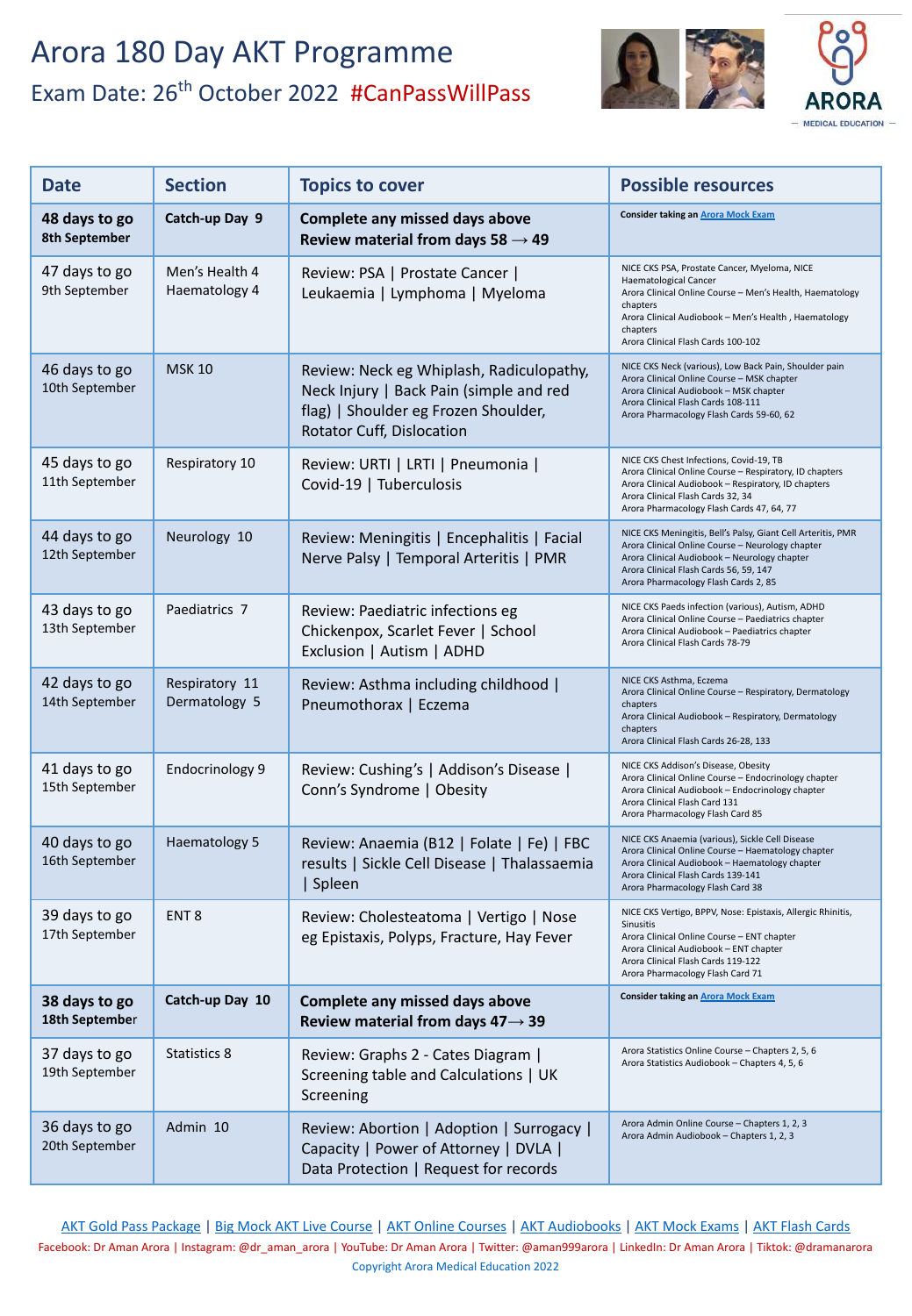

| <b>Date</b>                     | <b>Section</b>                  | <b>Topics to cover</b>                                                                                                                                   | <b>Possible resources</b>                                                                                                                                                                                                                                      |
|---------------------------------|---------------------------------|----------------------------------------------------------------------------------------------------------------------------------------------------------|----------------------------------------------------------------------------------------------------------------------------------------------------------------------------------------------------------------------------------------------------------------|
| 48 days to go<br>8th September  | Catch-up Day 9                  | Complete any missed days above<br>Review material from days 58 $\rightarrow$ 49                                                                          | <b>Consider taking an Arora Mock Exam</b>                                                                                                                                                                                                                      |
| 47 days to go<br>9th September  | Men's Health 4<br>Haematology 4 | Review: PSA   Prostate Cancer  <br>Leukaemia   Lymphoma   Myeloma                                                                                        | NICE CKS PSA, Prostate Cancer, Myeloma, NICE<br><b>Haematological Cancer</b><br>Arora Clinical Online Course - Men's Health, Haematology<br>chapters<br>Arora Clinical Audiobook - Men's Health, Haematology<br>chapters<br>Arora Clinical Flash Cards 100-102 |
| 46 days to go<br>10th September | <b>MSK 10</b>                   | Review: Neck eg Whiplash, Radiculopathy,<br>Neck Injury   Back Pain (simple and red<br>flag)   Shoulder eg Frozen Shoulder,<br>Rotator Cuff, Dislocation | NICE CKS Neck (various), Low Back Pain, Shoulder pain<br>Arora Clinical Online Course - MSK chapter<br>Arora Clinical Audiobook - MSK chapter<br>Arora Clinical Flash Cards 108-111<br>Arora Pharmacology Flash Cards 59-60, 62                                |
| 45 days to go<br>11th September | Respiratory 10                  | Review: URTI   LRTI   Pneumonia  <br>Covid-19   Tuberculosis                                                                                             | NICE CKS Chest Infections, Covid-19, TB<br>Arora Clinical Online Course - Respiratory, ID chapters<br>Arora Clinical Audiobook - Respiratory, ID chapters<br>Arora Clinical Flash Cards 32, 34<br>Arora Pharmacology Flash Cards 47, 64, 77                    |
| 44 days to go<br>12th September | Neurology 10                    | Review: Meningitis   Encephalitis   Facial<br>Nerve Palsy   Temporal Arteritis   PMR                                                                     | NICE CKS Meningitis, Bell's Palsy, Giant Cell Arteritis, PMR<br>Arora Clinical Online Course - Neurology chapter<br>Arora Clinical Audiobook - Neurology chapter<br>Arora Clinical Flash Cards 56, 59, 147<br>Arora Pharmacology Flash Cards 2, 85             |
| 43 days to go<br>13th September | Paediatrics 7                   | Review: Paediatric infections eg<br>Chickenpox, Scarlet Fever   School<br>Exclusion   Autism   ADHD                                                      | NICE CKS Paeds infection (various), Autism, ADHD<br>Arora Clinical Online Course - Paediatrics chapter<br>Arora Clinical Audiobook - Paediatrics chapter<br>Arora Clinical Flash Cards 78-79                                                                   |
| 42 days to go<br>14th September | Respiratory 11<br>Dermatology 5 | Review: Asthma including childhood  <br>Pneumothorax   Eczema                                                                                            | NICE CKS Asthma, Eczema<br>Arora Clinical Online Course - Respiratory, Dermatology<br>chapters<br>Arora Clinical Audiobook - Respiratory, Dermatology<br>chapters<br>Arora Clinical Flash Cards 26-28, 133                                                     |
| 41 days to go<br>15th September | <b>Endocrinology 9</b>          | Review: Cushing's   Addison's Disease  <br>Conn's Syndrome   Obesity                                                                                     | NICE CKS Addison's Disease, Obesity<br>Arora Clinical Online Course - Endocrinology chapter<br>Arora Clinical Audiobook - Endocrinology chapter<br>Arora Clinical Flash Card 131<br>Arora Pharmacology Flash Card 85                                           |
| 40 days to go<br>16th September | Haematology 5                   | Review: Anaemia (B12   Folate   Fe)   FBC<br>results   Sickle Cell Disease   Thalassaemia<br>Spleen                                                      | NICE CKS Anaemia (various), Sickle Cell Disease<br>Arora Clinical Online Course - Haematology chapter<br>Arora Clinical Audiobook - Haematology chapter<br>Arora Clinical Flash Cards 139-141<br>Arora Pharmacology Flash Card 38                              |
| 39 days to go<br>17th September | ENT <sub>8</sub>                | Review: Cholesteatoma   Vertigo   Nose<br>eg Epistaxis, Polyps, Fracture, Hay Fever                                                                      | NICE CKS Vertigo, BPPV, Nose: Epistaxis, Allergic Rhinitis,<br>Sinusitis<br>Arora Clinical Online Course - ENT chapter<br>Arora Clinical Audiobook - ENT chapter<br>Arora Clinical Flash Cards 119-122<br>Arora Pharmacology Flash Card 71                     |
| 38 days to go<br>18th September | Catch-up Day 10                 | Complete any missed days above<br>Review material from days $47 \rightarrow 39$                                                                          | <b>Consider taking an Arora Mock Exam</b>                                                                                                                                                                                                                      |
| 37 days to go<br>19th September | <b>Statistics 8</b>             | Review: Graphs 2 - Cates Diagram  <br>Screening table and Calculations   UK<br>Screening                                                                 | Arora Statistics Online Course - Chapters 2, 5, 6<br>Arora Statistics Audiobook - Chapters 4, 5, 6                                                                                                                                                             |
| 36 days to go<br>20th September | Admin 10                        | Review: Abortion   Adoption   Surrogacy  <br>Capacity   Power of Attorney   DVLA  <br>Data Protection   Request for records                              | Arora Admin Online Course - Chapters 1, 2, 3<br>Arora Admin Audiobook - Chapters 1, 2, 3                                                                                                                                                                       |

[AKT Gold Pass Package](https://aroramedicaleducation.co.uk/akt-gold-pass-package/) | [Big Mock AKT Live Course](https://aroramedicaleducation.co.uk/live-big-mock-akt-course/) | [AKT Online Courses](https://aroramedicaleducation.co.uk/mrcgp-akt-online-courses/) | [AKT Audiobooks](https://aroramedicaleducation.co.uk/audiobook/akt-audiobooks/) | [AKT Mock Exams](https://aroramedicaleducation.co.uk/mock-exam/akt-mock-exams/) | [AKT Flash Cards](https://aroramedicaleducation.co.uk/arora-medical-flash-cards/)

Facebook: Dr Aman Arora | Instagram: @dr\_aman\_arora | YouTube: Dr Aman Arora | Twitter: @aman999arora | LinkedIn: Dr Aman Arora | Tiktok: @dramanarora [Copyright Arora Medical Education 2022](https://aroramedicaleducation.co.uk/mrcgp-akt-new/)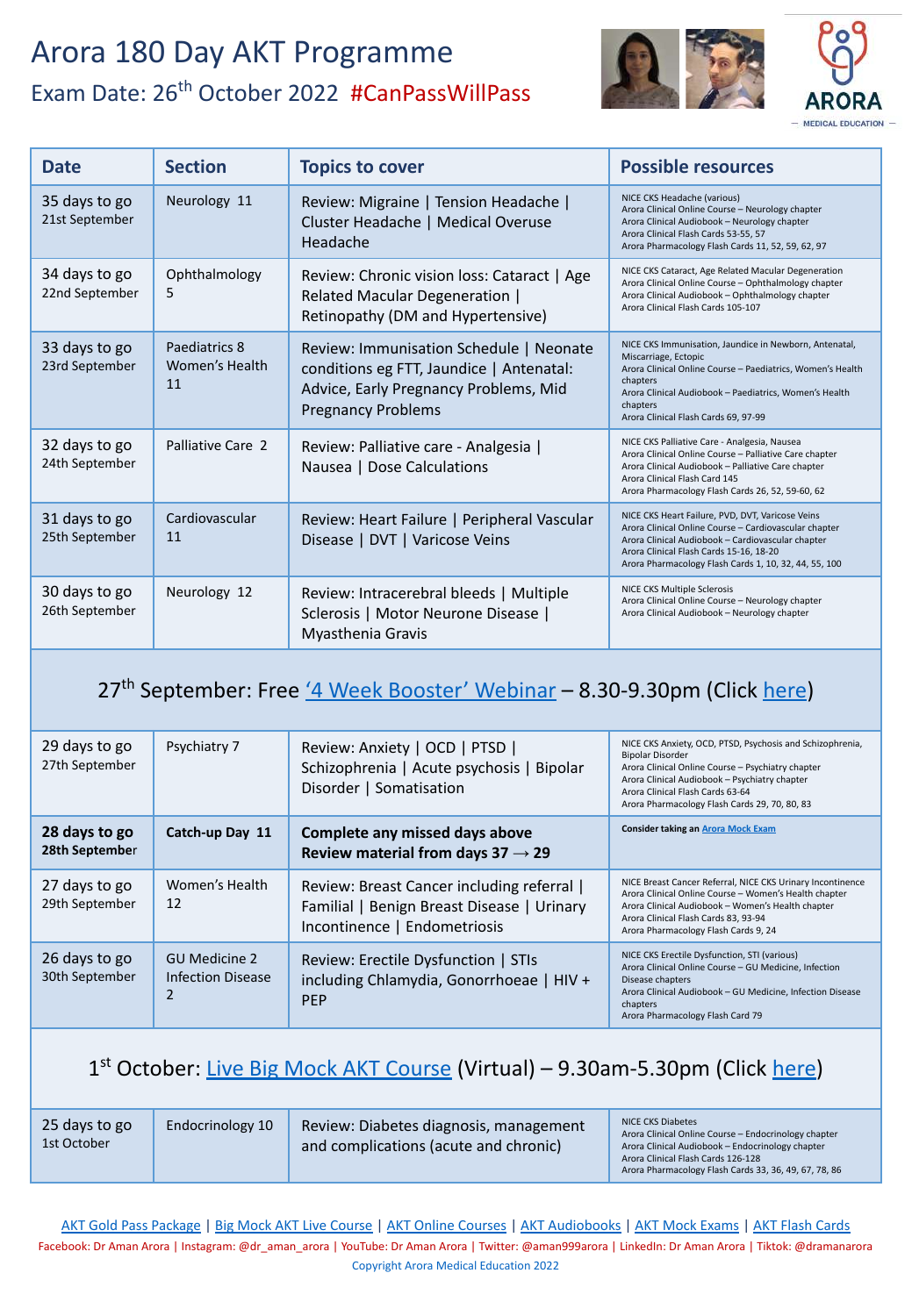

| <b>Date</b>                     | <b>Section</b>                        | <b>Topics to cover</b>                                                                                                                                    | <b>Possible resources</b>                                                                                                                                                                                                                                              |
|---------------------------------|---------------------------------------|-----------------------------------------------------------------------------------------------------------------------------------------------------------|------------------------------------------------------------------------------------------------------------------------------------------------------------------------------------------------------------------------------------------------------------------------|
| 35 days to go<br>21st September | Neurology 11                          | Review: Migraine   Tension Headache  <br>Cluster Headache   Medical Overuse<br>Headache                                                                   | NICE CKS Headache (various)<br>Arora Clinical Online Course - Neurology chapter<br>Arora Clinical Audiobook - Neurology chapter<br>Arora Clinical Flash Cards 53-55, 57<br>Arora Pharmacology Flash Cards 11, 52, 59, 62, 97                                           |
| 34 days to go<br>22nd September | Ophthalmology<br>5                    | Review: Chronic vision loss: Cataract   Age<br>Related Macular Degeneration  <br>Retinopathy (DM and Hypertensive)                                        | NICE CKS Cataract, Age Related Macular Degeneration<br>Arora Clinical Online Course - Ophthalmology chapter<br>Arora Clinical Audiobook - Ophthalmology chapter<br>Arora Clinical Flash Cards 105-107                                                                  |
| 33 days to go<br>23rd September | Paediatrics 8<br>Women's Health<br>11 | Review: Immunisation Schedule   Neonate<br>conditions eg FTT, Jaundice   Antenatal:<br>Advice, Early Pregnancy Problems, Mid<br><b>Pregnancy Problems</b> | NICE CKS Immunisation, Jaundice in Newborn, Antenatal,<br>Miscarriage, Ectopic<br>Arora Clinical Online Course - Paediatrics, Women's Health<br>chapters<br>Arora Clinical Audiobook - Paediatrics, Women's Health<br>chapters<br>Arora Clinical Flash Cards 69, 97-99 |
| 32 days to go<br>24th September | Palliative Care 2                     | Review: Palliative care - Analgesia  <br>Nausea   Dose Calculations                                                                                       | NICE CKS Palliative Care - Analgesia, Nausea<br>Arora Clinical Online Course - Palliative Care chapter<br>Arora Clinical Audiobook - Palliative Care chapter<br>Arora Clinical Flash Card 145<br>Arora Pharmacology Flash Cards 26, 52, 59-60, 62                      |
| 31 days to go<br>25th September | Cardiovascular<br>11                  | Review: Heart Failure   Peripheral Vascular<br>Disease   DVT   Varicose Veins                                                                             | NICE CKS Heart Failure, PVD, DVT, Varicose Veins<br>Arora Clinical Online Course - Cardiovascular chapter<br>Arora Clinical Audiobook - Cardiovascular chapter<br>Arora Clinical Flash Cards 15-16, 18-20<br>Arora Pharmacology Flash Cards 1, 10, 32, 44, 55, 100     |
| 30 days to go<br>26th September | Neurology 12                          | Review: Intracerebral bleeds   Multiple<br>Sclerosis   Motor Neurone Disease  <br>Myasthenia Gravis                                                       | NICE CKS Multiple Sclerosis<br>Arora Clinical Online Course - Neurology chapter<br>Arora Clinical Audiobook - Neurology chapter                                                                                                                                        |

#### 27<sup>th</sup> September: Free ['4 Week Booster' Webinar](https://aroramedicaleducation.co.uk/webinars/) - 8.30-9.30pm (Click [here](https://aroramedicaleducation.co.uk/webinars/))

| 29 days to go<br>27th September | Psychiatry 7                                     | Review: Anxiety   OCD   PTSD  <br>Schizophrenia   Acute psychosis   Bipolar<br>Disorder   Somatisation                 | NICE CKS Anxiety, OCD, PTSD, Psychosis and Schizophrenia,<br><b>Bipolar Disorder</b><br>Arora Clinical Online Course - Psychiatry chapter<br>Arora Clinical Audiobook - Psychiatry chapter<br>Arora Clinical Flash Cards 63-64<br>Arora Pharmacology Flash Cards 29, 70, 80, 83 |
|---------------------------------|--------------------------------------------------|------------------------------------------------------------------------------------------------------------------------|---------------------------------------------------------------------------------------------------------------------------------------------------------------------------------------------------------------------------------------------------------------------------------|
| 28 days to go<br>28th September | Catch-up Day 11                                  | Complete any missed days above<br>Review material from days $37 \rightarrow 29$                                        | <b>Consider taking an Arora Mock Exam</b>                                                                                                                                                                                                                                       |
| 27 days to go<br>29th September | Women's Health<br>12                             | Review: Breast Cancer including referral<br>Familial   Benign Breast Disease   Urinary<br>Incontinence   Endometriosis | NICE Breast Cancer Referral, NICE CKS Urinary Incontinence<br>Arora Clinical Online Course - Women's Health chapter<br>Arora Clinical Audiobook - Women's Health chapter<br>Arora Clinical Flash Cards 83, 93-94<br>Arora Pharmacology Flash Cards 9, 24                        |
| 26 days to go<br>30th September | <b>GU Medicine 2</b><br><b>Infection Disease</b> | Review: Erectile Dysfunction   STIs<br>including Chlamydia, Gonorrhoeae   HIV +<br><b>PEP</b>                          | NICE CKS Erectile Dysfunction, STI (various)<br>Arora Clinical Online Course - GU Medicine, Infection<br>Disease chapters<br>Arora Clinical Audiobook - GU Medicine, Infection Disease<br>chapters<br>Arora Pharmacology Flash Card 79                                          |

#### 1<sup>st</sup> October: [Live Big Mock AKT Course](https://aroramedicaleducation.co.uk/live-big-mock-akt-course/) (Virtual) – 9.30am-5.30pm (Click [here\)](https://aroramedicaleducation.co.uk/live-big-mock-akt-course/)

| 25 days to go<br>1st October | Endocrinology 10 | Review: Diabetes diagnosis, management<br>and complications (acute and chronic) | NICE CKS Diabetes<br>Arora Clinical Online Course - Endocrinology chapter<br>Arora Clinical Audiobook - Endocrinology chapter<br>Arora Clinical Flash Cards 126-128 |
|------------------------------|------------------|---------------------------------------------------------------------------------|---------------------------------------------------------------------------------------------------------------------------------------------------------------------|
|                              |                  |                                                                                 | Arora Pharmacology Flash Cards 33, 36, 49, 67, 78, 86                                                                                                               |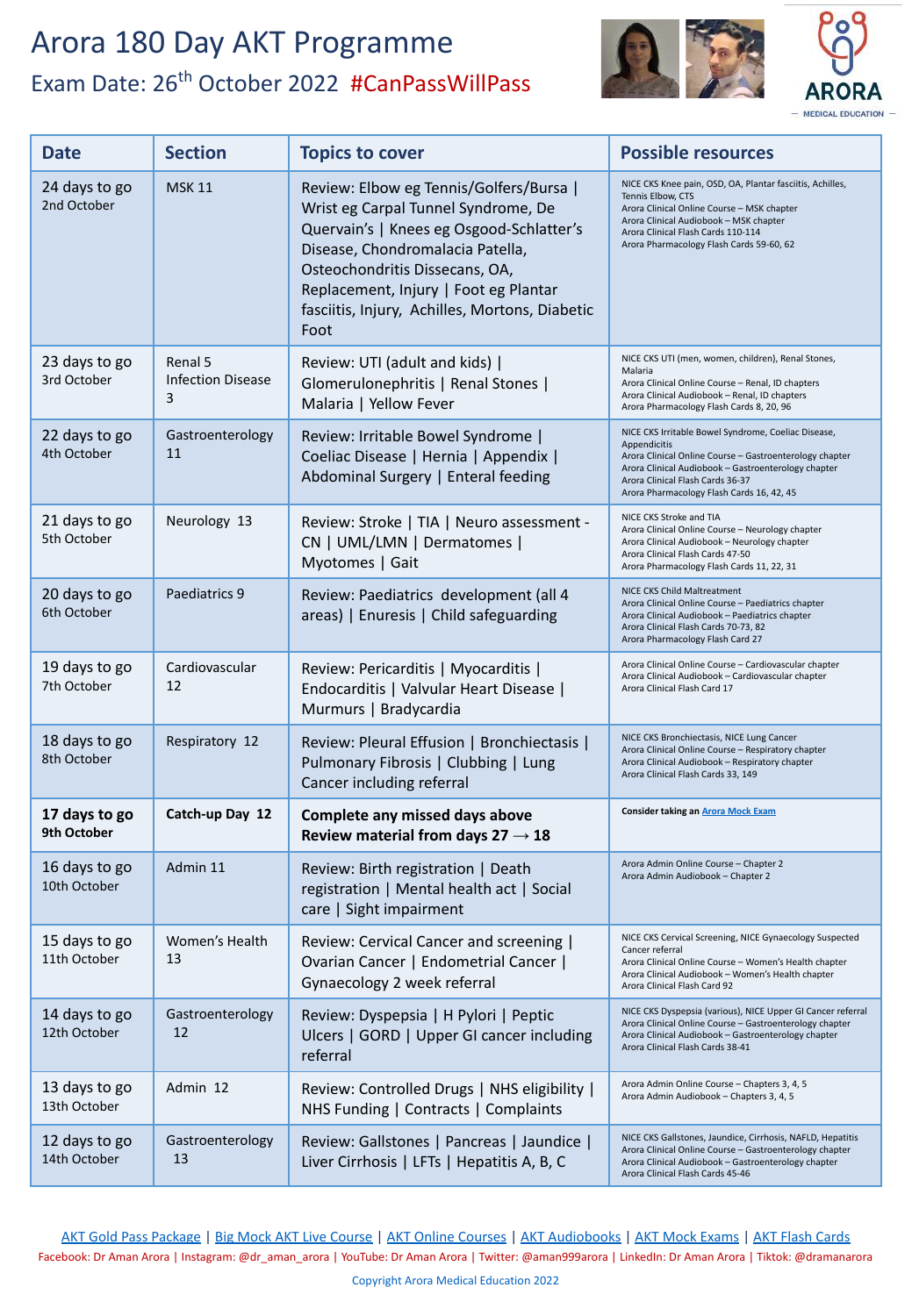

- MEDICAL EDUCATION -

| <b>Date</b>                   | <b>Section</b>                           | <b>Topics to cover</b>                                                                                                                                                                                                                                                                              | <b>Possible resources</b>                                                                                                                                                                                                                                              |
|-------------------------------|------------------------------------------|-----------------------------------------------------------------------------------------------------------------------------------------------------------------------------------------------------------------------------------------------------------------------------------------------------|------------------------------------------------------------------------------------------------------------------------------------------------------------------------------------------------------------------------------------------------------------------------|
| 24 days to go<br>2nd October  | <b>MSK 11</b>                            | Review: Elbow eg Tennis/Golfers/Bursa  <br>Wrist eg Carpal Tunnel Syndrome, De<br>Quervain's   Knees eg Osgood-Schlatter's<br>Disease, Chondromalacia Patella,<br>Osteochondritis Dissecans, OA,<br>Replacement, Injury   Foot eg Plantar<br>fasciitis, Injury, Achilles, Mortons, Diabetic<br>Foot | NICE CKS Knee pain, OSD, OA, Plantar fasciitis, Achilles,<br>Tennis Elbow, CTS<br>Arora Clinical Online Course - MSK chapter<br>Arora Clinical Audiobook - MSK chapter<br>Arora Clinical Flash Cards 110-114<br>Arora Pharmacology Flash Cards 59-60, 62               |
| 23 days to go<br>3rd October  | Renal 5<br><b>Infection Disease</b><br>3 | Review: UTI (adult and kids)  <br>Glomerulonephritis   Renal Stones  <br>Malaria   Yellow Fever                                                                                                                                                                                                     | NICE CKS UTI (men, women, children), Renal Stones,<br>Malaria<br>Arora Clinical Online Course - Renal, ID chapters<br>Arora Clinical Audiobook - Renal, ID chapters<br>Arora Pharmacology Flash Cards 8, 20, 96                                                        |
| 22 days to go<br>4th October  | Gastroenterology<br>11                   | Review: Irritable Bowel Syndrome  <br>Coeliac Disease   Hernia   Appendix  <br>Abdominal Surgery   Enteral feeding                                                                                                                                                                                  | NICE CKS Irritable Bowel Syndrome, Coeliac Disease,<br>Appendicitis<br>Arora Clinical Online Course - Gastroenterology chapter<br>Arora Clinical Audiobook - Gastroenterology chapter<br>Arora Clinical Flash Cards 36-37<br>Arora Pharmacology Flash Cards 16, 42, 45 |
| 21 days to go<br>5th October  | Neurology 13                             | Review: Stroke   TIA   Neuro assessment -<br>CN   UML/LMN   Dermatomes  <br>Myotomes   Gait                                                                                                                                                                                                         | NICE CKS Stroke and TIA<br>Arora Clinical Online Course - Neurology chapter<br>Arora Clinical Audiobook - Neurology chapter<br>Arora Clinical Flash Cards 47-50<br>Arora Pharmacology Flash Cards 11, 22, 31                                                           |
| 20 days to go<br>6th October  | Paediatrics 9                            | Review: Paediatrics development (all 4<br>areas)   Enuresis   Child safeguarding                                                                                                                                                                                                                    | NICE CKS Child Maltreatment<br>Arora Clinical Online Course - Paediatrics chapter<br>Arora Clinical Audiobook - Paediatrics chapter<br>Arora Clinical Flash Cards 70-73, 82<br>Arora Pharmacology Flash Card 27                                                        |
| 19 days to go<br>7th October  | Cardiovascular<br>12                     | Review: Pericarditis   Myocarditis  <br>Endocarditis   Valvular Heart Disease  <br>Murmurs   Bradycardia                                                                                                                                                                                            | Arora Clinical Online Course - Cardiovascular chapter<br>Arora Clinical Audiobook - Cardiovascular chapter<br>Arora Clinical Flash Card 17                                                                                                                             |
| 18 days to go<br>8th October  | Respiratory 12                           | Review: Pleural Effusion   Bronchiectasis  <br>Pulmonary Fibrosis   Clubbing   Lung<br>Cancer including referral                                                                                                                                                                                    | NICE CKS Bronchiectasis, NICE Lung Cancer<br>Arora Clinical Online Course - Respiratory chapter<br>Arora Clinical Audiobook - Respiratory chapter<br>Arora Clinical Flash Cards 33, 149                                                                                |
| 17 days to go<br>9th October  | Catch-up Day 12                          | Complete any missed days above<br>Review material from days $27 \rightarrow 18$                                                                                                                                                                                                                     | <b>Consider taking an Arora Mock Exam</b>                                                                                                                                                                                                                              |
| 16 days to go<br>10th October | Admin 11                                 | Review: Birth registration   Death<br>registration   Mental health act   Social<br>care   Sight impairment                                                                                                                                                                                          | Arora Admin Online Course - Chapter 2<br>Arora Admin Audiobook - Chapter 2                                                                                                                                                                                             |
| 15 days to go<br>11th October | Women's Health<br>13                     | Review: Cervical Cancer and screening  <br>Ovarian Cancer   Endometrial Cancer  <br>Gynaecology 2 week referral                                                                                                                                                                                     | NICE CKS Cervical Screening, NICE Gynaecology Suspected<br>Cancer referral<br>Arora Clinical Online Course - Women's Health chapter<br>Arora Clinical Audiobook - Women's Health chapter<br>Arora Clinical Flash Card 92                                               |
| 14 days to go<br>12th October | Gastroenterology<br>12                   | Review: Dyspepsia   H Pylori   Peptic<br>Ulcers   GORD   Upper GI cancer including<br>referral                                                                                                                                                                                                      | NICE CKS Dyspepsia (various), NICE Upper GI Cancer referral<br>Arora Clinical Online Course - Gastroenterology chapter<br>Arora Clinical Audiobook - Gastroenterology chapter<br>Arora Clinical Flash Cards 38-41                                                      |
| 13 days to go<br>13th October | Admin 12                                 | Review: Controlled Drugs   NHS eligibility  <br>NHS Funding   Contracts   Complaints                                                                                                                                                                                                                | Arora Admin Online Course - Chapters 3, 4, 5<br>Arora Admin Audiobook - Chapters 3, 4, 5                                                                                                                                                                               |
| 12 days to go<br>14th October | Gastroenterology<br>13                   | Review: Gallstones   Pancreas   Jaundice  <br>Liver Cirrhosis   LFTs   Hepatitis A, B, C                                                                                                                                                                                                            | NICE CKS Gallstones, Jaundice, Cirrhosis, NAFLD, Hepatitis<br>Arora Clinical Online Course - Gastroenterology chapter<br>Arora Clinical Audiobook - Gastroenterology chapter<br>Arora Clinical Flash Cards 45-46                                                       |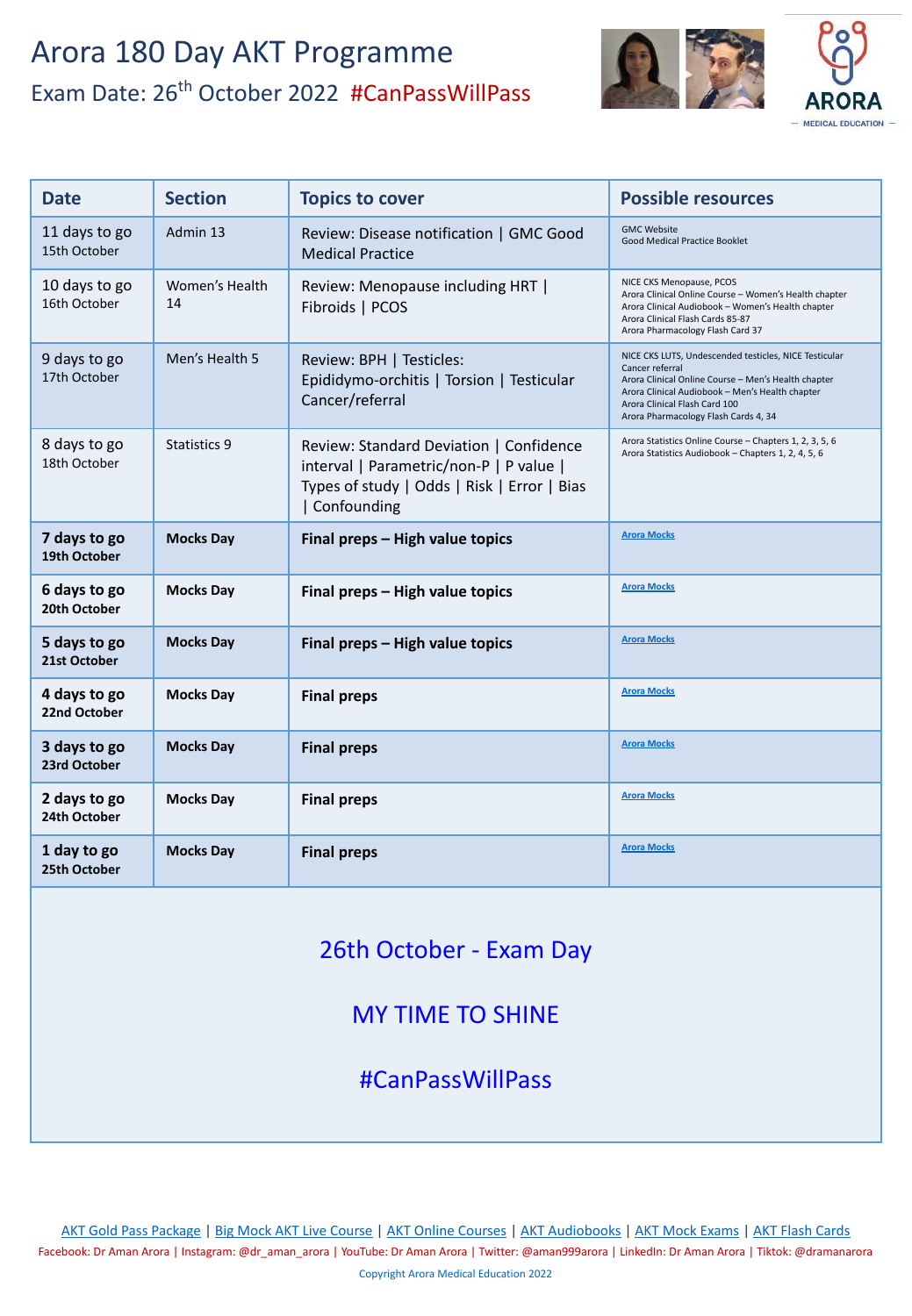

| <b>Date</b>                   | <b>Section</b>       | <b>Topics to cover</b>                                                                                                                             | <b>Possible resources</b>                                                                                                                                                                                                                                   |
|-------------------------------|----------------------|----------------------------------------------------------------------------------------------------------------------------------------------------|-------------------------------------------------------------------------------------------------------------------------------------------------------------------------------------------------------------------------------------------------------------|
| 11 days to go<br>15th October | Admin 13             | Review: Disease notification   GMC Good<br><b>Medical Practice</b>                                                                                 | <b>GMC Website</b><br>Good Medical Practice Booklet                                                                                                                                                                                                         |
| 10 days to go<br>16th October | Women's Health<br>14 | Review: Menopause including HRT  <br>Fibroids   PCOS                                                                                               | NICE CKS Menopause, PCOS<br>Arora Clinical Online Course - Women's Health chapter<br>Arora Clinical Audiobook - Women's Health chapter<br>Arora Clinical Flash Cards 85-87<br>Arora Pharmacology Flash Card 37                                              |
| 9 days to go<br>17th October  | Men's Health 5       | Review: BPH   Testicles:<br>Epididymo-orchitis   Torsion   Testicular<br>Cancer/referral                                                           | NICE CKS LUTS, Undescended testicles, NICE Testicular<br>Cancer referral<br>Arora Clinical Online Course - Men's Health chapter<br>Arora Clinical Audiobook - Men's Health chapter<br>Arora Clinical Flash Card 100<br>Arora Pharmacology Flash Cards 4, 34 |
| 8 days to go<br>18th October  | Statistics 9         | Review: Standard Deviation   Confidence<br>interval   Parametric/non-P   P value  <br>Types of study   Odds   Risk   Error   Bias<br>  Confounding | Arora Statistics Online Course - Chapters 1, 2, 3, 5, 6<br>Arora Statistics Audiobook - Chapters 1, 2, 4, 5, 6                                                                                                                                              |
| 7 days to go<br>19th October  | <b>Mocks Day</b>     | Final preps - High value topics                                                                                                                    | <b>Arora Mocks</b>                                                                                                                                                                                                                                          |
| 6 days to go<br>20th October  | <b>Mocks Day</b>     | Final preps - High value topics                                                                                                                    | <b>Arora Mocks</b>                                                                                                                                                                                                                                          |
| 5 days to go<br>21st October  | <b>Mocks Day</b>     | Final preps - High value topics                                                                                                                    | <b>Arora Mocks</b>                                                                                                                                                                                                                                          |
| 4 days to go<br>22nd October  | <b>Mocks Day</b>     | <b>Final preps</b>                                                                                                                                 | <b>Arora Mocks</b>                                                                                                                                                                                                                                          |
| 3 days to go<br>23rd October  | <b>Mocks Day</b>     | <b>Final preps</b>                                                                                                                                 | <b>Arora Mocks</b>                                                                                                                                                                                                                                          |
| 2 days to go<br>24th October  | <b>Mocks Day</b>     | <b>Final preps</b>                                                                                                                                 | <b>Arora Mocks</b>                                                                                                                                                                                                                                          |
| 1 day to go<br>25th October   | <b>Mocks Day</b>     | <b>Final preps</b>                                                                                                                                 | <b>Arora Mocks</b>                                                                                                                                                                                                                                          |

26th October - Exam Day

#### MY TIME TO SHINE

#CanPassWillPass

[AKT Gold Pass Package](https://aroramedicaleducation.co.uk/akt-gold-pass-package/) | [Big Mock AKT Live Course](https://aroramedicaleducation.co.uk/live-big-mock-akt-course/) | [AKT Online Courses](https://aroramedicaleducation.co.uk/mrcgp-akt-online-courses/) | [AKT Audiobooks](https://aroramedicaleducation.co.uk/audiobook/akt-audiobooks/) | [AKT Mock Exams](https://aroramedicaleducation.co.uk/mock-exam/akt-mock-exams/) | [AKT Flash Cards](https://aroramedicaleducation.co.uk/arora-medical-flash-cards/)

Facebook: Dr Aman Arora | Instagram: @dr\_aman\_arora | YouTube: Dr Aman Arora | Twitter: @aman999arora | LinkedIn: Dr Aman Arora | Tiktok: @dramanarora